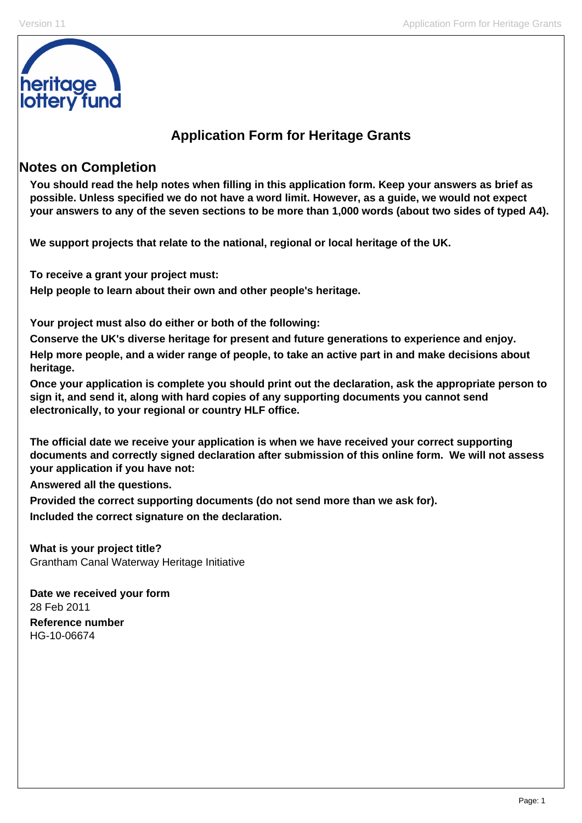

## **Application Form for Heritage Grants**

## **Notes on Completion**

**You should read the help notes when filling in this application form. Keep your answers as brief as possible. Unless specified we do not have a word limit. However, as a guide, we would not expect your answers to any of the seven sections to be more than 1,000 words (about two sides of typed A4).** 

**We support projects that relate to the national, regional or local heritage of the UK.** 

**To receive a grant your project must:** 

**Help people to learn about their own and other people's heritage.** 

**Your project must also do either or both of the following:** 

**Conserve the UK's diverse heritage for present and future generations to experience and enjoy.** 

**Help more people, and a wider range of people, to take an active part in and make decisions about heritage.** 

**Once your application is complete you should print out the declaration, ask the appropriate person to sign it, and send it, along with hard copies of any supporting documents you cannot send electronically, to your regional or country HLF office.** 

**The official date we receive your application is when we have received your correct supporting documents and correctly signed declaration after submission of this online form. We will not assess your application if you have not:** 

**Answered all the questions.** 

**Provided the correct supporting documents (do not send more than we ask for). Included the correct signature on the declaration.** 

**What is your project title?**  Grantham Canal Waterway Heritage Initiative

**Date we received your form**  28 Feb 2011 **Reference number**  HG-10-06674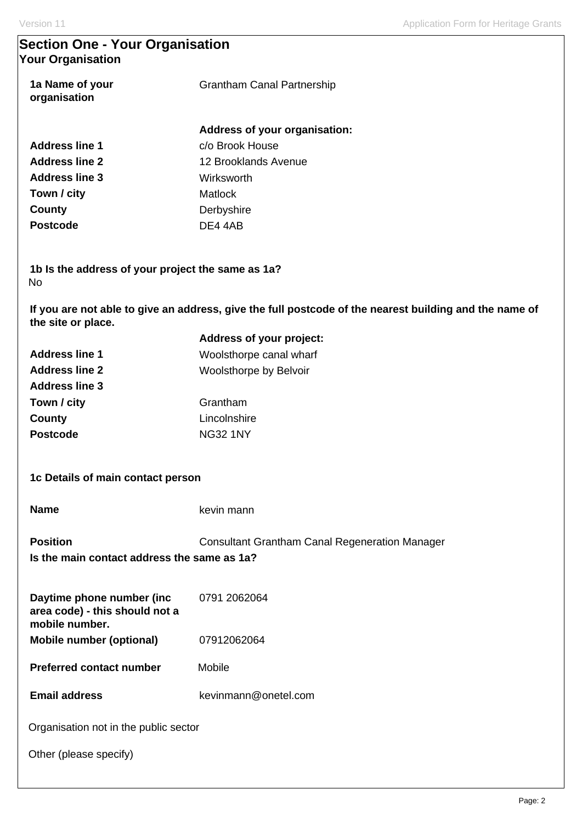## **Section One - Your Organisation Your Organisation**

| 1a Name of your<br>organisation | <b>Grantham Canal Partnership</b> |  |
|---------------------------------|-----------------------------------|--|
|                                 | Address of your organisation:     |  |
| Address line 1                  | c/o Brook House                   |  |
| <b>Address line 2</b>           | 12 Brooklands Avenue              |  |
| <b>Address line 3</b>           | Wirksworth                        |  |
| Town / city                     | Matlock                           |  |
| County                          | Derbyshire                        |  |
| <b>Postcode</b>                 | DE4 4AB                           |  |

**1b Is the address of your project the same as 1a?**  No

**If you are not able to give an address, give the full postcode of the nearest building and the name of the site or place.** 

|                       | Address of your project:      |
|-----------------------|-------------------------------|
| <b>Address line 1</b> | Woolsthorpe canal wharf       |
| <b>Address line 2</b> | <b>Woolsthorpe by Belvoir</b> |
| <b>Address line 3</b> |                               |
| Town / city           | Grantham                      |
| County                | Lincolnshire                  |
| <b>Postcode</b>       | <b>NG32 1NY</b>               |
|                       |                               |

**Position Consultant Grantham Canal Regeneration Manager Is the main contact address the same as 1a?** 

| Daytime phone number (inc.<br>area code) - this should not a | 0791 2062064 |
|--------------------------------------------------------------|--------------|
| mobile number.                                               |              |
| Mobile number (optional)                                     | 07912062064  |

**Preferred contact number Mobile** 

**Email address** kevinmann@onetel.com

Organisation not in the public sector

Other (please specify)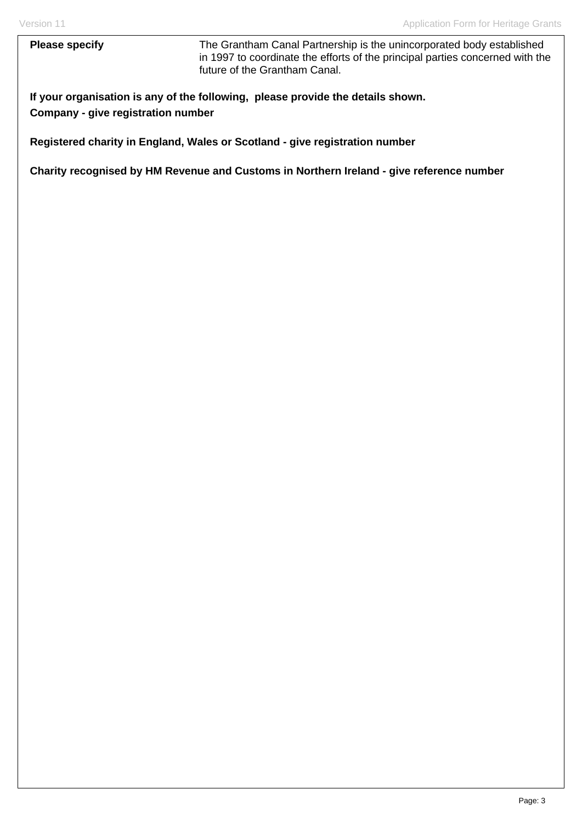**Please specify** The Grantham Canal Partnership is the unincorporated body established in 1997 to coordinate the efforts of the principal parties concerned with the future of the Grantham Canal.

**If your organisation is any of the following, please provide the details shown. Company - give registration number** 

**Registered charity in England, Wales or Scotland - give registration number** 

**Charity recognised by HM Revenue and Customs in Northern Ireland - give reference number**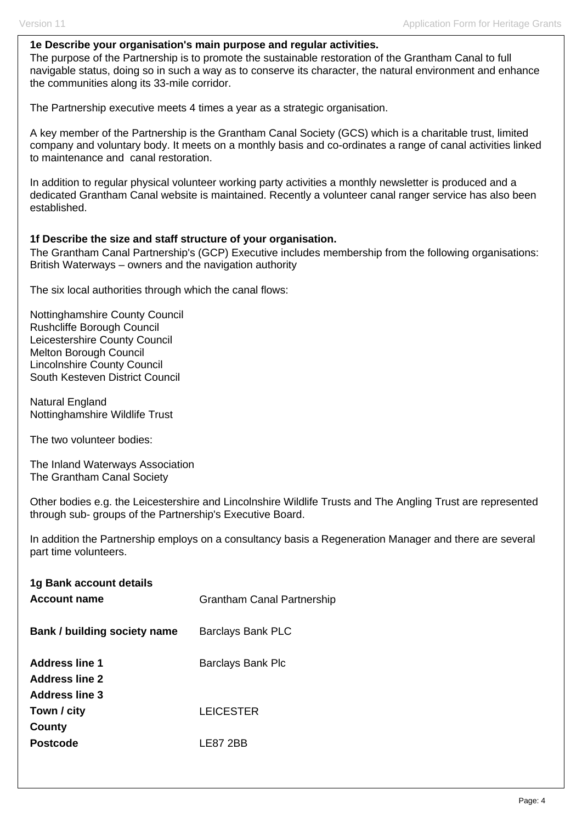#### **1e Describe your organisation's main purpose and regular activities.**

The purpose of the Partnership is to promote the sustainable restoration of the Grantham Canal to full navigable status, doing so in such a way as to conserve its character, the natural environment and enhance the communities along its 33-mile corridor.

The Partnership executive meets 4 times a year as a strategic organisation.

A key member of the Partnership is the Grantham Canal Society (GCS) which is a charitable trust, limited company and voluntary body. It meets on a monthly basis and co-ordinates a range of canal activities linked to maintenance and canal restoration.

In addition to regular physical volunteer working party activities a monthly newsletter is produced and a dedicated Grantham Canal website is maintained. Recently a volunteer canal ranger service has also been established.

#### **1f Describe the size and staff structure of your organisation.**

The Grantham Canal Partnership's (GCP) Executive includes membership from the following organisations: British Waterways – owners and the navigation authority

The six local authorities through which the canal flows:

Nottinghamshire County Council Rushcliffe Borough Council Leicestershire County Council Melton Borough Council Lincolnshire County Council South Kesteven District Council

Natural England Nottinghamshire Wildlife Trust

The two volunteer bodies:

The Inland Waterways Association The Grantham Canal Society

Other bodies e.g. the Leicestershire and Lincolnshire Wildlife Trusts and The Angling Trust are represented through sub- groups of the Partnership's Executive Board.

In addition the Partnership employs on a consultancy basis a Regeneration Manager and there are several part time volunteers.

| 1g Bank account details<br>Account name                          | <b>Grantham Canal Partnership</b> |
|------------------------------------------------------------------|-----------------------------------|
| Bank / building society name                                     | <b>Barclays Bank PLC</b>          |
| Address line 1<br><b>Address line 2</b><br><b>Address line 3</b> | Barclays Bank Plc                 |
| Town / city<br>County                                            | <b>LEICESTER</b>                  |
| <b>Postcode</b>                                                  | I F87 2BB                         |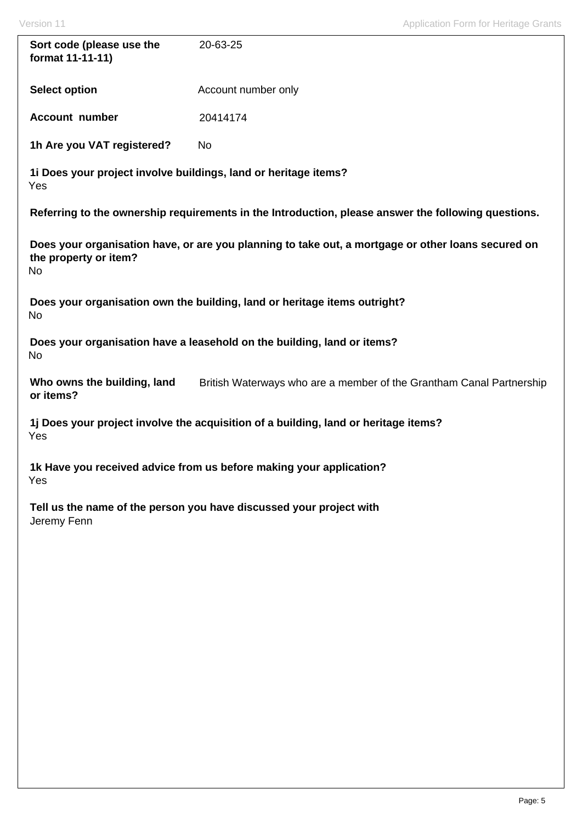| Sort code (please use the<br>format 11-11-11)                              | 20-63-25                                                                                            |  |  |  |
|----------------------------------------------------------------------------|-----------------------------------------------------------------------------------------------------|--|--|--|
| <b>Select option</b>                                                       | Account number only                                                                                 |  |  |  |
| <b>Account number</b>                                                      | 20414174                                                                                            |  |  |  |
| 1h Are you VAT registered?                                                 | No                                                                                                  |  |  |  |
| 1i Does your project involve buildings, land or heritage items?<br>Yes     |                                                                                                     |  |  |  |
|                                                                            | Referring to the ownership requirements in the Introduction, please answer the following questions. |  |  |  |
| the property or item?<br>No                                                | Does your organisation have, or are you planning to take out, a mortgage or other loans secured on  |  |  |  |
| No                                                                         | Does your organisation own the building, land or heritage items outright?                           |  |  |  |
| No                                                                         | Does your organisation have a leasehold on the building, land or items?                             |  |  |  |
| Who owns the building, land<br>or items?                                   | British Waterways who are a member of the Grantham Canal Partnership                                |  |  |  |
| Yes                                                                        | 1j Does your project involve the acquisition of a building, land or heritage items?                 |  |  |  |
| 1k Have you received advice from us before making your application?<br>Yes |                                                                                                     |  |  |  |
| Jeremy Fenn                                                                | Tell us the name of the person you have discussed your project with                                 |  |  |  |
|                                                                            |                                                                                                     |  |  |  |
|                                                                            |                                                                                                     |  |  |  |
|                                                                            |                                                                                                     |  |  |  |
|                                                                            |                                                                                                     |  |  |  |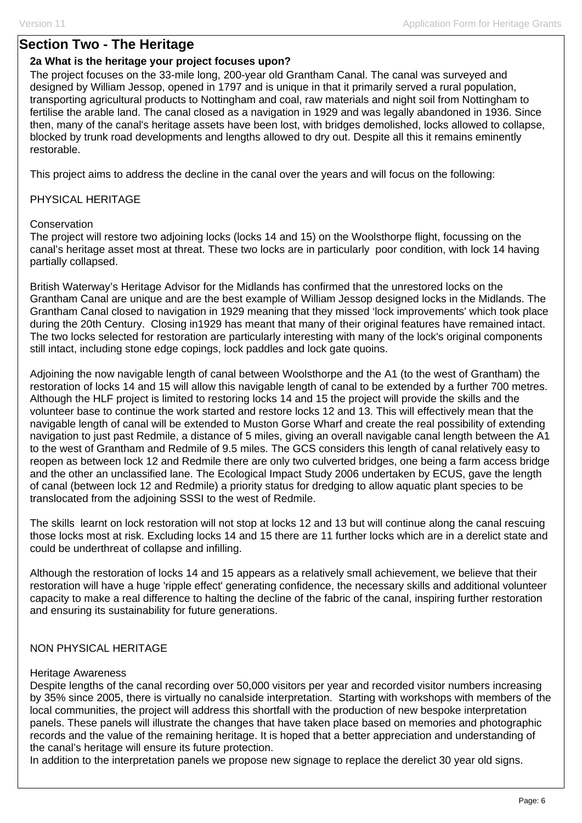## **Section Two - The Heritage**

#### **2a What is the heritage your project focuses upon?**

The project focuses on the 33-mile long, 200-year old Grantham Canal. The canal was surveyed and designed by William Jessop, opened in 1797 and is unique in that it primarily served a rural population, transporting agricultural products to Nottingham and coal, raw materials and night soil from Nottingham to fertilise the arable land. The canal closed as a navigation in 1929 and was legally abandoned in 1936. Since then, many of the canal's heritage assets have been lost, with bridges demolished, locks allowed to collapse, blocked by trunk road developments and lengths allowed to dry out. Despite all this it remains eminently restorable.

This project aims to address the decline in the canal over the years and will focus on the following:

#### PHYSICAL HERITAGE

#### **Conservation**

The project will restore two adjoining locks (locks 14 and 15) on the Woolsthorpe flight, focussing on the canal's heritage asset most at threat. These two locks are in particularly poor condition, with lock 14 having partially collapsed.

British Waterway's Heritage Advisor for the Midlands has confirmed that the unrestored locks on the Grantham Canal are unique and are the best example of William Jessop designed locks in the Midlands. The Grantham Canal closed to navigation in 1929 meaning that they missed 'lock improvements' which took place during the 20th Century. Closing in1929 has meant that many of their original features have remained intact. The two locks selected for restoration are particularly interesting with many of the lock's original components still intact, including stone edge copings, lock paddles and lock gate quoins.

Adjoining the now navigable length of canal between Woolsthorpe and the A1 (to the west of Grantham) the restoration of locks 14 and 15 will allow this navigable length of canal to be extended by a further 700 metres. Although the HLF project is limited to restoring locks 14 and 15 the project will provide the skills and the volunteer base to continue the work started and restore locks 12 and 13. This will effectively mean that the navigable length of canal will be extended to Muston Gorse Wharf and create the real possibility of extending navigation to just past Redmile, a distance of 5 miles, giving an overall navigable canal length between the A1 to the west of Grantham and Redmile of 9.5 miles. The GCS considers this length of canal relatively easy to reopen as between lock 12 and Redmile there are only two culverted bridges, one being a farm access bridge and the other an unclassified lane. The Ecological Impact Study 2006 undertaken by ECUS, gave the length of canal (between lock 12 and Redmile) a priority status for dredging to allow aquatic plant species to be translocated from the adjoining SSSI to the west of Redmile.

The skills learnt on lock restoration will not stop at locks 12 and 13 but will continue along the canal rescuing those locks most at risk. Excluding locks 14 and 15 there are 11 further locks which are in a derelict state and could be underthreat of collapse and infilling.

Although the restoration of locks 14 and 15 appears as a relatively small achievement, we believe that their restoration will have a huge 'ripple effect' generating confidence, the necessary skills and additional volunteer capacity to make a real difference to halting the decline of the fabric of the canal, inspiring further restoration and ensuring its sustainability for future generations.

### NON PHYSICAL HERITAGE

#### Heritage Awareness

Despite lengths of the canal recording over 50,000 visitors per year and recorded visitor numbers increasing by 35% since 2005, there is virtually no canalside interpretation. Starting with workshops with members of the local communities, the project will address this shortfall with the production of new bespoke interpretation panels. These panels will illustrate the changes that have taken place based on memories and photographic records and the value of the remaining heritage. It is hoped that a better appreciation and understanding of the canal's heritage will ensure its future protection.

In addition to the interpretation panels we propose new signage to replace the derelict 30 year old signs.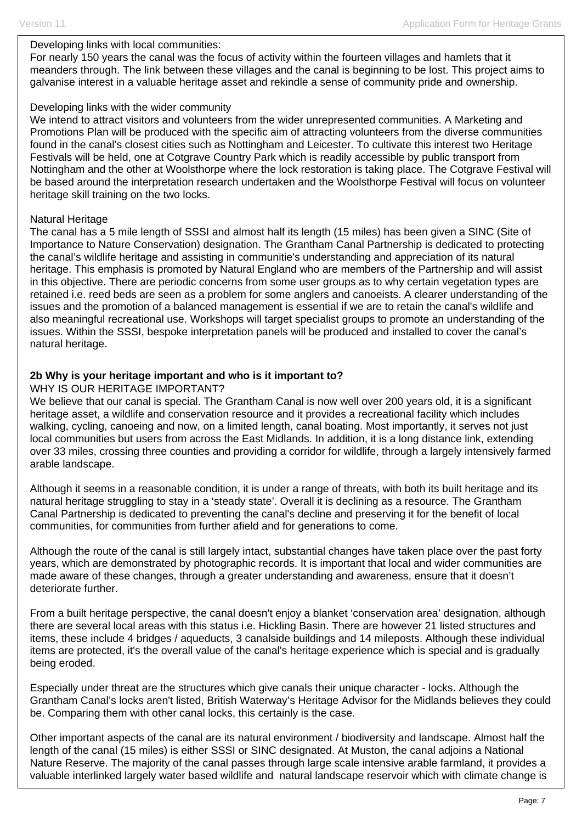#### Developing links with local communities:

For nearly 150 years the canal was the focus of activity within the fourteen villages and hamlets that it meanders through. The link between these villages and the canal is beginning to be lost. This project aims to galvanise interest in a valuable heritage asset and rekindle a sense of community pride and ownership.

#### Developing links with the wider community

We intend to attract visitors and volunteers from the wider unrepresented communities. A Marketing and Promotions Plan will be produced with the specific aim of attracting volunteers from the diverse communities found in the canal's closest cities such as Nottingham and Leicester. To cultivate this interest two Heritage Festivals will be held, one at Cotgrave Country Park which is readily accessible by public transport from Nottingham and the other at Woolsthorpe where the lock restoration is taking place. The Cotgrave Festival will be based around the interpretation research undertaken and the Woolsthorpe Festival will focus on volunteer heritage skill training on the two locks.

#### Natural Heritage

The canal has a 5 mile length of SSSI and almost half its length (15 miles) has been given a SINC (Site of Importance to Nature Conservation) designation. The Grantham Canal Partnership is dedicated to protecting the canal's wildlife heritage and assisting in communitie's understanding and appreciation of its natural heritage. This emphasis is promoted by Natural England who are members of the Partnership and will assist in this objective. There are periodic concerns from some user groups as to why certain vegetation types are retained i.e. reed beds are seen as a problem for some anglers and canoeists. A clearer understanding of the issues and the promotion of a balanced management is essential if we are to retain the canal's wildlife and also meaningful recreational use. Workshops will target specialist groups to promote an understanding of the issues. Within the SSSI, bespoke interpretation panels will be produced and installed to cover the canal's natural heritage.

### **2b Why is your heritage important and who is it important to?**

### WHY IS OUR HERITAGE IMPORTANT?

We believe that our canal is special. The Grantham Canal is now well over 200 years old, it is a significant heritage asset, a wildlife and conservation resource and it provides a recreational facility which includes walking, cycling, canoeing and now, on a limited length, canal boating. Most importantly, it serves not just local communities but users from across the East Midlands. In addition, it is a long distance link, extending over 33 miles, crossing three counties and providing a corridor for wildlife, through a largely intensively farmed arable landscape.

Although it seems in a reasonable condition, it is under a range of threats, with both its built heritage and its natural heritage struggling to stay in a 'steady state'. Overall it is declining as a resource. The Grantham Canal Partnership is dedicated to preventing the canal's decline and preserving it for the benefit of local communities, for communities from further afield and for generations to come.

Although the route of the canal is still largely intact, substantial changes have taken place over the past forty years, which are demonstrated by photographic records. It is important that local and wider communities are made aware of these changes, through a greater understanding and awareness, ensure that it doesn't deteriorate further.

From a built heritage perspective, the canal doesn't enjoy a blanket 'conservation area' designation, although there are several local areas with this status i.e. Hickling Basin. There are however 21 listed structures and items, these include 4 bridges / aqueducts, 3 canalside buildings and 14 mileposts. Although these individual items are protected, it's the overall value of the canal's heritage experience which is special and is gradually being eroded.

Especially under threat are the structures which give canals their unique character - locks. Although the Grantham Canal's locks aren't listed, British Waterway's Heritage Advisor for the Midlands believes they could be. Comparing them with other canal locks, this certainly is the case.

Other important aspects of the canal are its natural environment / biodiversity and landscape. Almost half the length of the canal (15 miles) is either SSSI or SINC designated. At Muston, the canal adjoins a National Nature Reserve. The majority of the canal passes through large scale intensive arable farmland, it provides a valuable interlinked largely water based wildlife and natural landscape reservoir which with climate change is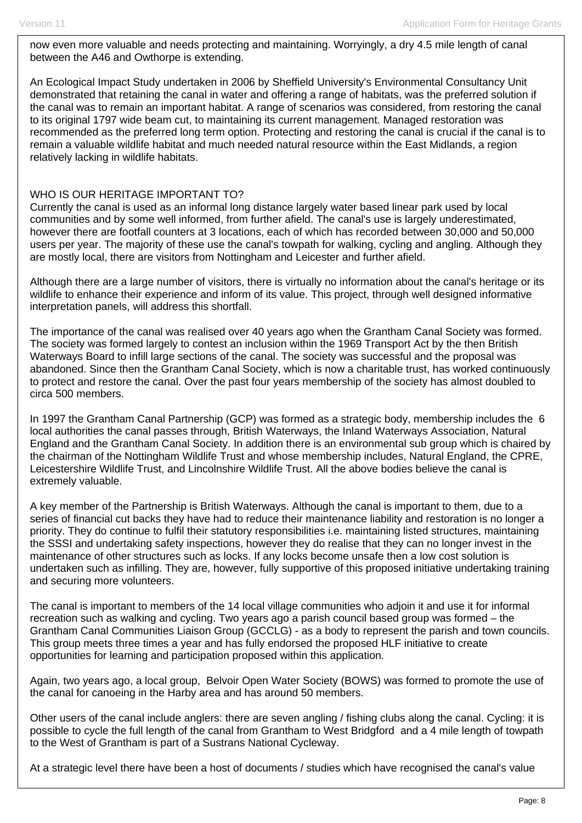now even more valuable and needs protecting and maintaining. Worryingly, a dry 4.5 mile length of canal between the A46 and Owthorpe is extending.

An Ecological Impact Study undertaken in 2006 by Sheffield University's Environmental Consultancy Unit demonstrated that retaining the canal in water and offering a range of habitats, was the preferred solution if the canal was to remain an important habitat. A range of scenarios was considered, from restoring the canal to its original 1797 wide beam cut, to maintaining its current management. Managed restoration was recommended as the preferred long term option. Protecting and restoring the canal is crucial if the canal is to remain a valuable wildlife habitat and much needed natural resource within the East Midlands, a region relatively lacking in wildlife habitats.

#### WHO IS OUR HERITAGE IMPORTANT TO?

Currently the canal is used as an informal long distance largely water based linear park used by local communities and by some well informed, from further afield. The canal's use is largely underestimated, however there are footfall counters at 3 locations, each of which has recorded between 30,000 and 50,000 users per year. The majority of these use the canal's towpath for walking, cycling and angling. Although they are mostly local, there are visitors from Nottingham and Leicester and further afield.

Although there are a large number of visitors, there is virtually no information about the canal's heritage or its wildlife to enhance their experience and inform of its value. This project, through well designed informative interpretation panels, will address this shortfall.

The importance of the canal was realised over 40 years ago when the Grantham Canal Society was formed. The society was formed largely to contest an inclusion within the 1969 Transport Act by the then British Waterways Board to infill large sections of the canal. The society was successful and the proposal was abandoned. Since then the Grantham Canal Society, which is now a charitable trust, has worked continuously to protect and restore the canal. Over the past four years membership of the society has almost doubled to circa 500 members.

In 1997 the Grantham Canal Partnership (GCP) was formed as a strategic body, membership includes the 6 local authorities the canal passes through, British Waterways, the Inland Waterways Association, Natural England and the Grantham Canal Society. In addition there is an environmental sub group which is chaired by the chairman of the Nottingham Wildlife Trust and whose membership includes, Natural England, the CPRE, Leicestershire Wildlife Trust, and Lincolnshire Wildlife Trust. All the above bodies believe the canal is extremely valuable.

A key member of the Partnership is British Waterways. Although the canal is important to them, due to a series of financial cut backs they have had to reduce their maintenance liability and restoration is no longer a priority. They do continue to fulfil their statutory responsibilities i.e. maintaining listed structures, maintaining the SSSI and undertaking safety inspections, however they do realise that they can no longer invest in the maintenance of other structures such as locks. If any locks become unsafe then a low cost solution is undertaken such as infilling. They are, however, fully supportive of this proposed initiative undertaking training and securing more volunteers.

The canal is important to members of the 14 local village communities who adjoin it and use it for informal recreation such as walking and cycling. Two years ago a parish council based group was formed – the Grantham Canal Communities Liaison Group (GCCLG) - as a body to represent the parish and town councils. This group meets three times a year and has fully endorsed the proposed HLF initiative to create opportunities for learning and participation proposed within this application.

Again, two years ago, a local group, Belvoir Open Water Society (BOWS) was formed to promote the use of the canal for canoeing in the Harby area and has around 50 members.

Other users of the canal include anglers: there are seven angling / fishing clubs along the canal. Cycling: it is possible to cycle the full length of the canal from Grantham to West Bridgford and a 4 mile length of towpath to the West of Grantham is part of a Sustrans National Cycleway.

At a strategic level there have been a host of documents / studies which have recognised the canal's value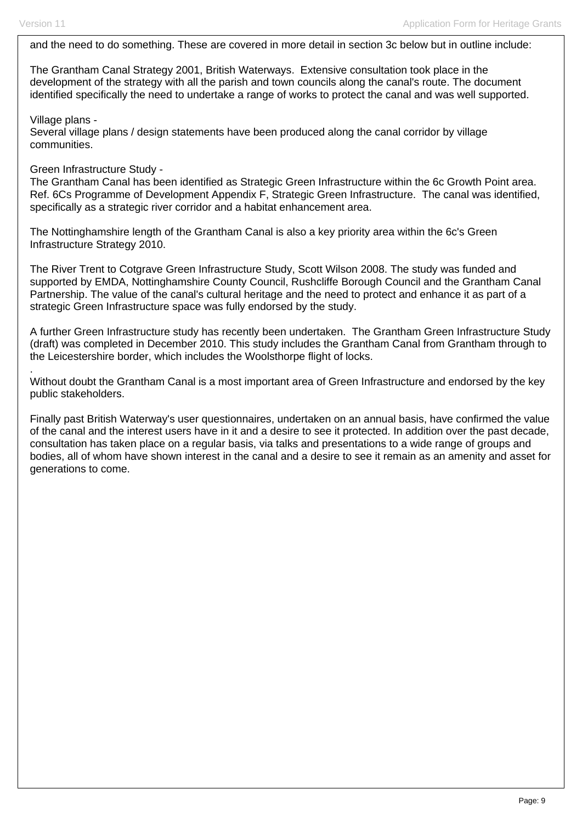and the need to do something. These are covered in more detail in section 3c below but in outline include:

The Grantham Canal Strategy 2001, British Waterways. Extensive consultation took place in the development of the strategy with all the parish and town councils along the canal's route. The document identified specifically the need to undertake a range of works to protect the canal and was well supported.

Village plans -

.

Several village plans / design statements have been produced along the canal corridor by village communities.

#### Green Infrastructure Study -

The Grantham Canal has been identified as Strategic Green Infrastructure within the 6c Growth Point area. Ref. 6Cs Programme of Development Appendix F, Strategic Green Infrastructure. The canal was identified, specifically as a strategic river corridor and a habitat enhancement area.

The Nottinghamshire length of the Grantham Canal is also a key priority area within the 6c's Green Infrastructure Strategy 2010.

The River Trent to Cotgrave Green Infrastructure Study, Scott Wilson 2008. The study was funded and supported by EMDA, Nottinghamshire County Council, Rushcliffe Borough Council and the Grantham Canal Partnership. The value of the canal's cultural heritage and the need to protect and enhance it as part of a strategic Green Infrastructure space was fully endorsed by the study.

A further Green Infrastructure study has recently been undertaken. The Grantham Green Infrastructure Study (draft) was completed in December 2010. This study includes the Grantham Canal from Grantham through to the Leicestershire border, which includes the Woolsthorpe flight of locks.

Without doubt the Grantham Canal is a most important area of Green Infrastructure and endorsed by the key public stakeholders.

Finally past British Waterway's user questionnaires, undertaken on an annual basis, have confirmed the value of the canal and the interest users have in it and a desire to see it protected. In addition over the past decade, consultation has taken place on a regular basis, via talks and presentations to a wide range of groups and bodies, all of whom have shown interest in the canal and a desire to see it remain as an amenity and asset for generations to come.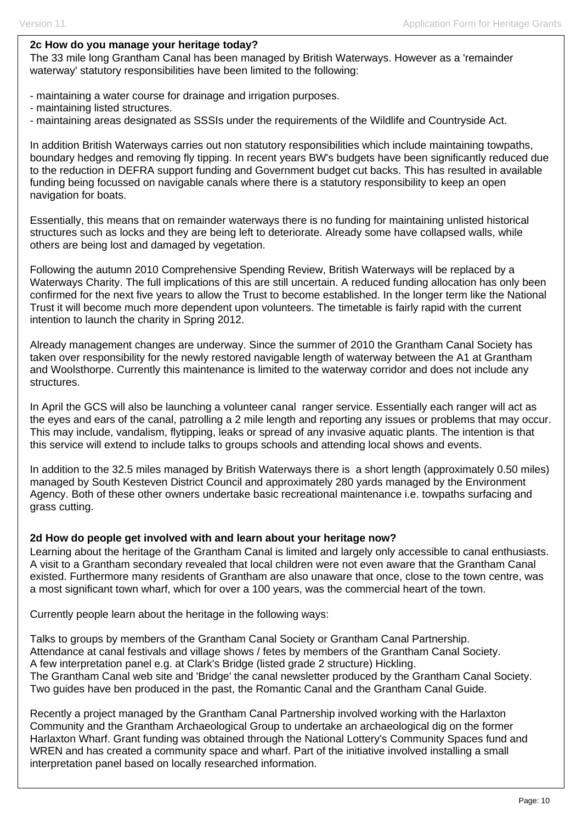#### **2c How do you manage your heritage today?**

The 33 mile long Grantham Canal has been managed by British Waterways. However as a 'remainder waterway' statutory responsibilities have been limited to the following:

- maintaining a water course for drainage and irrigation purposes.
- maintaining listed structures.
- maintaining areas designated as SSSIs under the requirements of the Wildlife and Countryside Act.

In addition British Waterways carries out non statutory responsibilities which include maintaining towpaths, boundary hedges and removing fly tipping. In recent years BW's budgets have been significantly reduced due to the reduction in DEFRA support funding and Government budget cut backs. This has resulted in available funding being focussed on navigable canals where there is a statutory responsibility to keep an open navigation for boats.

Essentially, this means that on remainder waterways there is no funding for maintaining unlisted historical structures such as locks and they are being left to deteriorate. Already some have collapsed walls, while others are being lost and damaged by vegetation.

Following the autumn 2010 Comprehensive Spending Review, British Waterways will be replaced by a Waterways Charity. The full implications of this are still uncertain. A reduced funding allocation has only been confirmed for the next five years to allow the Trust to become established. In the longer term like the National Trust it will become much more dependent upon volunteers. The timetable is fairly rapid with the current intention to launch the charity in Spring 2012.

Already management changes are underway. Since the summer of 2010 the Grantham Canal Society has taken over responsibility for the newly restored navigable length of waterway between the A1 at Grantham and Woolsthorpe. Currently this maintenance is limited to the waterway corridor and does not include any structures.

In April the GCS will also be launching a volunteer canal ranger service. Essentially each ranger will act as the eyes and ears of the canal, patrolling a 2 mile length and reporting any issues or problems that may occur. This may include, vandalism, flytipping, leaks or spread of any invasive aquatic plants. The intention is that this service will extend to include talks to groups schools and attending local shows and events.

In addition to the 32.5 miles managed by British Waterways there is a short length (approximately 0.50 miles) managed by South Kesteven District Council and approximately 280 yards managed by the Environment Agency. Both of these other owners undertake basic recreational maintenance i.e. towpaths surfacing and grass cutting.

#### **2d How do people get involved with and learn about your heritage now?**

Learning about the heritage of the Grantham Canal is limited and largely only accessible to canal enthusiasts. A visit to a Grantham secondary revealed that local children were not even aware that the Grantham Canal existed. Furthermore many residents of Grantham are also unaware that once, close to the town centre, was a most significant town wharf, which for over a 100 years, was the commercial heart of the town.

Currently people learn about the heritage in the following ways:

Talks to groups by members of the Grantham Canal Society or Grantham Canal Partnership. Attendance at canal festivals and village shows / fetes by members of the Grantham Canal Society. A few interpretation panel e.g. at Clark's Bridge (listed grade 2 structure) Hickling. The Grantham Canal web site and 'Bridge' the canal newsletter produced by the Grantham Canal Society. Two guides have ben produced in the past, the Romantic Canal and the Grantham Canal Guide.

Recently a project managed by the Grantham Canal Partnership involved working with the Harlaxton Community and the Grantham Archaeological Group to undertake an archaeological dig on the former Harlaxton Wharf. Grant funding was obtained through the National Lottery's Community Spaces fund and WREN and has created a community space and wharf. Part of the initiative involved installing a small interpretation panel based on locally researched information.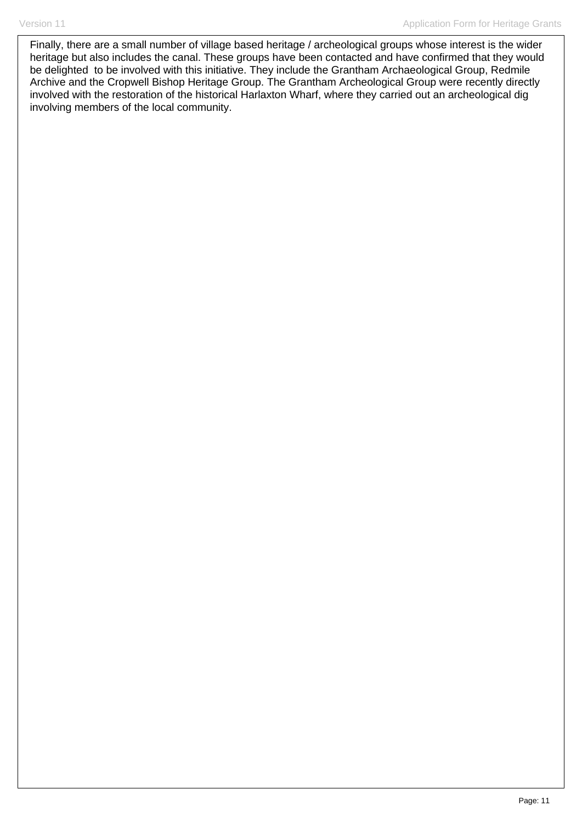Finally, there are a small number of village based heritage / archeological groups whose interest is the wider heritage but also includes the canal. These groups have been contacted and have confirmed that they would be delighted to be involved with this initiative. They include the Grantham Archaeological Group, Redmile Archive and the Cropwell Bishop Heritage Group. The Grantham Archeological Group were recently directly involved with the restoration of the historical Harlaxton Wharf, where they carried out an archeological dig involving members of the local community.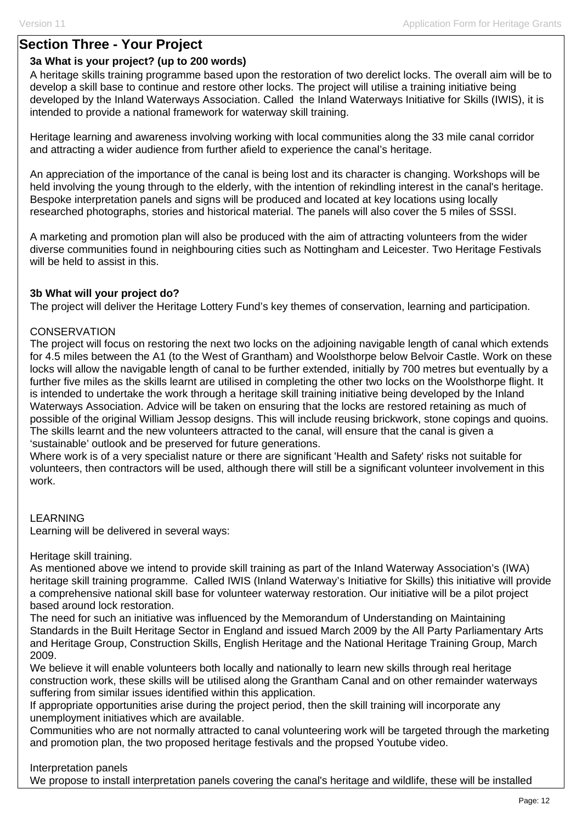## **Section Three - Your Project**

### **3a What is your project? (up to 200 words)**

A heritage skills training programme based upon the restoration of two derelict locks. The overall aim will be to develop a skill base to continue and restore other locks. The project will utilise a training initiative being developed by the Inland Waterways Association. Called the Inland Waterways Initiative for Skills (IWIS), it is intended to provide a national framework for waterway skill training.

Heritage learning and awareness involving working with local communities along the 33 mile canal corridor and attracting a wider audience from further afield to experience the canal's heritage.

An appreciation of the importance of the canal is being lost and its character is changing. Workshops will be held involving the young through to the elderly, with the intention of rekindling interest in the canal's heritage. Bespoke interpretation panels and signs will be produced and located at key locations using locally researched photographs, stories and historical material. The panels will also cover the 5 miles of SSSI.

A marketing and promotion plan will also be produced with the aim of attracting volunteers from the wider diverse communities found in neighbouring cities such as Nottingham and Leicester. Two Heritage Festivals will be held to assist in this.

#### **3b What will your project do?**

The project will deliver the Heritage Lottery Fund's key themes of conservation, learning and participation.

#### **CONSERVATION**

The project will focus on restoring the next two locks on the adjoining navigable length of canal which extends for 4.5 miles between the A1 (to the West of Grantham) and Woolsthorpe below Belvoir Castle. Work on these locks will allow the navigable length of canal to be further extended, initially by 700 metres but eventually by a further five miles as the skills learnt are utilised in completing the other two locks on the Woolsthorpe flight. It is intended to undertake the work through a heritage skill training initiative being developed by the Inland Waterways Association. Advice will be taken on ensuring that the locks are restored retaining as much of possible of the original William Jessop designs. This will include reusing brickwork, stone copings and quoins. The skills learnt and the new volunteers attracted to the canal, will ensure that the canal is given a 'sustainable' outlook and be preserved for future generations.

Where work is of a very specialist nature or there are significant 'Health and Safety' risks not suitable for volunteers, then contractors will be used, although there will still be a significant volunteer involvement in this work.

#### LEARNING

Learning will be delivered in several ways:

Heritage skill training.

As mentioned above we intend to provide skill training as part of the Inland Waterway Association's (IWA) heritage skill training programme. Called IWIS (Inland Waterway's Initiative for Skills) this initiative will provide a comprehensive national skill base for volunteer waterway restoration. Our initiative will be a pilot project based around lock restoration.

The need for such an initiative was influenced by the Memorandum of Understanding on Maintaining Standards in the Built Heritage Sector in England and issued March 2009 by the All Party Parliamentary Arts and Heritage Group, Construction Skills, English Heritage and the National Heritage Training Group, March 2009.

We believe it will enable volunteers both locally and nationally to learn new skills through real heritage construction work, these skills will be utilised along the Grantham Canal and on other remainder waterways suffering from similar issues identified within this application.

If appropriate opportunities arise during the project period, then the skill training will incorporate any unemployment initiatives which are available.

Communities who are not normally attracted to canal volunteering work will be targeted through the marketing and promotion plan, the two proposed heritage festivals and the propsed Youtube video.

Interpretation panels

We propose to install interpretation panels covering the canal's heritage and wildlife, these will be installed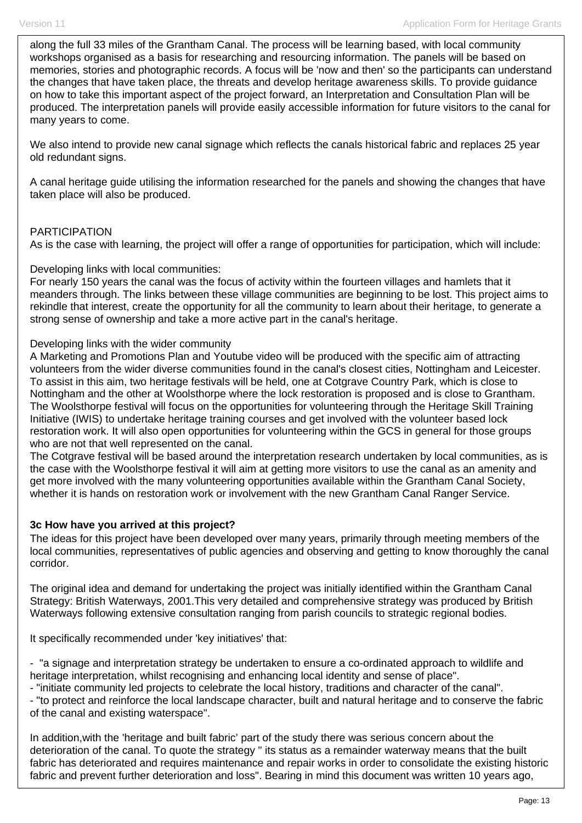along the full 33 miles of the Grantham Canal. The process will be learning based, with local community workshops organised as a basis for researching and resourcing information. The panels will be based on memories, stories and photographic records. A focus will be 'now and then' so the participants can understand the changes that have taken place, the threats and develop heritage awareness skills. To provide guidance on how to take this important aspect of the project forward, an Interpretation and Consultation Plan will be produced. The interpretation panels will provide easily accessible information for future visitors to the canal for many years to come.

We also intend to provide new canal signage which reflects the canals historical fabric and replaces 25 year old redundant signs.

A canal heritage guide utilising the information researched for the panels and showing the changes that have taken place will also be produced.

#### PARTICIPATION

As is the case with learning, the project will offer a range of opportunities for participation, which will include:

#### Developing links with local communities:

For nearly 150 years the canal was the focus of activity within the fourteen villages and hamlets that it meanders through. The links between these village communities are beginning to be lost. This project aims to rekindle that interest, create the opportunity for all the community to learn about their heritage, to generate a strong sense of ownership and take a more active part in the canal's heritage.

#### Developing links with the wider community

A Marketing and Promotions Plan and Youtube video will be produced with the specific aim of attracting volunteers from the wider diverse communities found in the canal's closest cities, Nottingham and Leicester. To assist in this aim, two heritage festivals will be held, one at Cotgrave Country Park, which is close to Nottingham and the other at Woolsthorpe where the lock restoration is proposed and is close to Grantham. The Woolsthorpe festival will focus on the opportunities for volunteering through the Heritage Skill Training Initiative (IWIS) to undertake heritage training courses and get involved with the volunteer based lock restoration work. It will also open opportunities for volunteering within the GCS in general for those groups who are not that well represented on the canal.

The Cotgrave festival will be based around the interpretation research undertaken by local communities, as is the case with the Woolsthorpe festival it will aim at getting more visitors to use the canal as an amenity and get more involved with the many volunteering opportunities available within the Grantham Canal Society, whether it is hands on restoration work or involvement with the new Grantham Canal Ranger Service.

#### **3c How have you arrived at this project?**

The ideas for this project have been developed over many years, primarily through meeting members of the local communities, representatives of public agencies and observing and getting to know thoroughly the canal corridor.

The original idea and demand for undertaking the project was initially identified within the Grantham Canal Strategy: British Waterways, 2001.This very detailed and comprehensive strategy was produced by British Waterways following extensive consultation ranging from parish councils to strategic regional bodies.

It specifically recommended under 'key initiatives' that:

- "a signage and interpretation strategy be undertaken to ensure a co-ordinated approach to wildlife and heritage interpretation, whilst recognising and enhancing local identity and sense of place".

- "initiate community led projects to celebrate the local history, traditions and character of the canal".

- "to protect and reinforce the local landscape character, built and natural heritage and to conserve the fabric of the canal and existing waterspace".

In addition,with the 'heritage and built fabric' part of the study there was serious concern about the deterioration of the canal. To quote the strategy " its status as a remainder waterway means that the built fabric has deteriorated and requires maintenance and repair works in order to consolidate the existing historic fabric and prevent further deterioration and loss". Bearing in mind this document was written 10 years ago,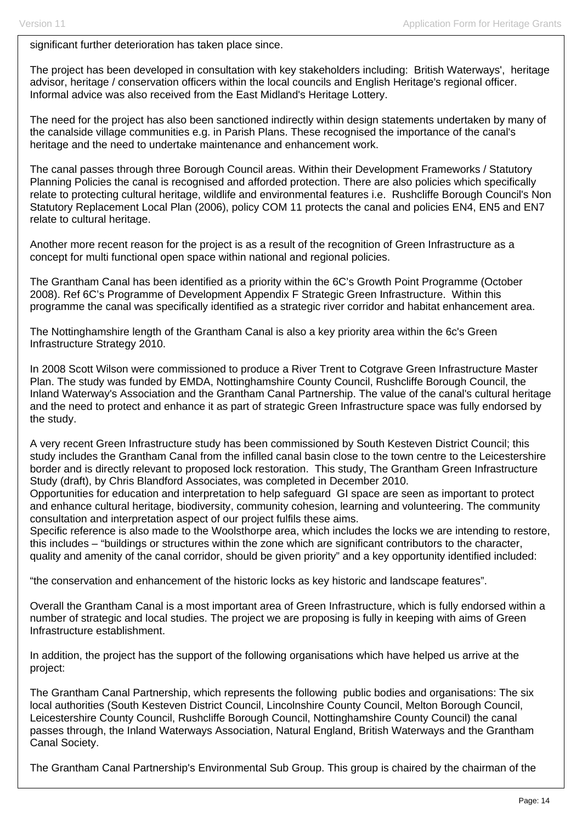significant further deterioration has taken place since.

The project has been developed in consultation with key stakeholders including: British Waterways', heritage advisor, heritage / conservation officers within the local councils and English Heritage's regional officer. Informal advice was also received from the East Midland's Heritage Lottery.

The need for the project has also been sanctioned indirectly within design statements undertaken by many of the canalside village communities e.g. in Parish Plans. These recognised the importance of the canal's heritage and the need to undertake maintenance and enhancement work.

The canal passes through three Borough Council areas. Within their Development Frameworks / Statutory Planning Policies the canal is recognised and afforded protection. There are also policies which specifically relate to protecting cultural heritage, wildlife and environmental features i.e. Rushcliffe Borough Council's Non Statutory Replacement Local Plan (2006), policy COM 11 protects the canal and policies EN4, EN5 and EN7 relate to cultural heritage.

Another more recent reason for the project is as a result of the recognition of Green Infrastructure as a concept for multi functional open space within national and regional policies.

The Grantham Canal has been identified as a priority within the 6C's Growth Point Programme (October 2008). Ref 6C's Programme of Development Appendix F Strategic Green Infrastructure. Within this programme the canal was specifically identified as a strategic river corridor and habitat enhancement area.

The Nottinghamshire length of the Grantham Canal is also a key priority area within the 6c's Green Infrastructure Strategy 2010.

In 2008 Scott Wilson were commissioned to produce a River Trent to Cotgrave Green Infrastructure Master Plan. The study was funded by EMDA, Nottinghamshire County Council, Rushcliffe Borough Council, the Inland Waterway's Association and the Grantham Canal Partnership. The value of the canal's cultural heritage and the need to protect and enhance it as part of strategic Green Infrastructure space was fully endorsed by the study.

A very recent Green Infrastructure study has been commissioned by South Kesteven District Council; this study includes the Grantham Canal from the infilled canal basin close to the town centre to the Leicestershire border and is directly relevant to proposed lock restoration. This study, The Grantham Green Infrastructure Study (draft), by Chris Blandford Associates, was completed in December 2010.

Opportunities for education and interpretation to help safeguard GI space are seen as important to protect and enhance cultural heritage, biodiversity, community cohesion, learning and volunteering. The community consultation and interpretation aspect of our project fulfils these aims.

Specific reference is also made to the Woolsthorpe area, which includes the locks we are intending to restore, this includes – "buildings or structures within the zone which are significant contributors to the character, quality and amenity of the canal corridor, should be given priority" and a key opportunity identified included:

"the conservation and enhancement of the historic locks as key historic and landscape features".

Overall the Grantham Canal is a most important area of Green Infrastructure, which is fully endorsed within a number of strategic and local studies. The project we are proposing is fully in keeping with aims of Green Infrastructure establishment.

In addition, the project has the support of the following organisations which have helped us arrive at the project:

The Grantham Canal Partnership, which represents the following public bodies and organisations: The six local authorities (South Kesteven District Council, Lincolnshire County Council, Melton Borough Council, Leicestershire County Council, Rushcliffe Borough Council, Nottinghamshire County Council) the canal passes through, the Inland Waterways Association, Natural England, British Waterways and the Grantham Canal Society.

The Grantham Canal Partnership's Environmental Sub Group. This group is chaired by the chairman of the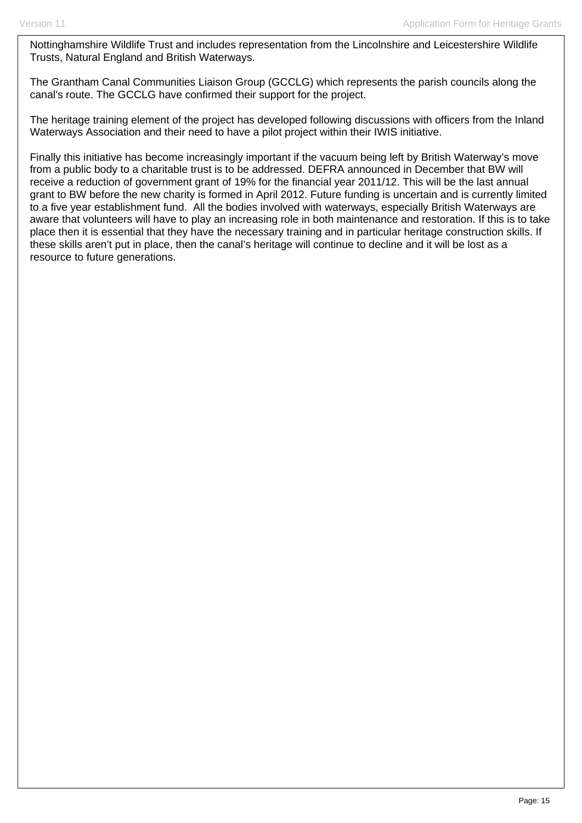Nottinghamshire Wildlife Trust and includes representation from the Lincolnshire and Leicestershire Wildlife Trusts, Natural England and British Waterways.

The Grantham Canal Communities Liaison Group (GCCLG) which represents the parish councils along the canal's route. The GCCLG have confirmed their support for the project.

The heritage training element of the project has developed following discussions with officers from the Inland Waterways Association and their need to have a pilot project within their IWIS initiative.

Finally this initiative has become increasingly important if the vacuum being left by British Waterway's move from a public body to a charitable trust is to be addressed. DEFRA announced in December that BW will receive a reduction of government grant of 19% for the financial year 2011/12. This will be the last annual grant to BW before the new charity is formed in April 2012. Future funding is uncertain and is currently limited to a five year establishment fund. All the bodies involved with waterways, especially British Waterways are aware that volunteers will have to play an increasing role in both maintenance and restoration. If this is to take place then it is essential that they have the necessary training and in particular heritage construction skills. If these skills aren't put in place, then the canal's heritage will continue to decline and it will be lost as a resource to future generations.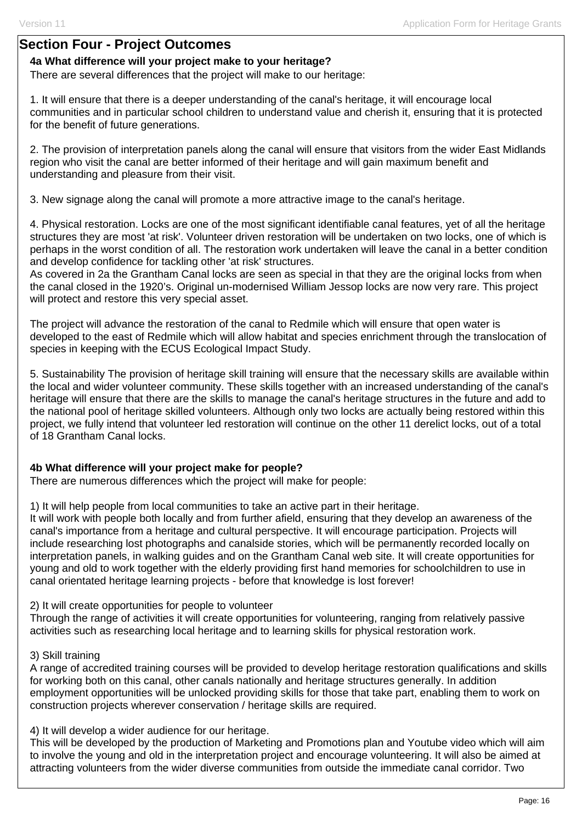## **Section Four - Project Outcomes**

### **4a What difference will your project make to your heritage?**

There are several differences that the project will make to our heritage:

1. It will ensure that there is a deeper understanding of the canal's heritage, it will encourage local communities and in particular school children to understand value and cherish it, ensuring that it is protected for the benefit of future generations.

2. The provision of interpretation panels along the canal will ensure that visitors from the wider East Midlands region who visit the canal are better informed of their heritage and will gain maximum benefit and understanding and pleasure from their visit.

3. New signage along the canal will promote a more attractive image to the canal's heritage.

4. Physical restoration. Locks are one of the most significant identifiable canal features, yet of all the heritage structures they are most 'at risk'. Volunteer driven restoration will be undertaken on two locks, one of which is perhaps in the worst condition of all. The restoration work undertaken will leave the canal in a better condition and develop confidence for tackling other 'at risk' structures.

As covered in 2a the Grantham Canal locks are seen as special in that they are the original locks from when the canal closed in the 1920's. Original un-modernised William Jessop locks are now very rare. This project will protect and restore this very special asset.

The project will advance the restoration of the canal to Redmile which will ensure that open water is developed to the east of Redmile which will allow habitat and species enrichment through the translocation of species in keeping with the ECUS Ecological Impact Study.

5. Sustainability The provision of heritage skill training will ensure that the necessary skills are available within the local and wider volunteer community. These skills together with an increased understanding of the canal's heritage will ensure that there are the skills to manage the canal's heritage structures in the future and add to the national pool of heritage skilled volunteers. Although only two locks are actually being restored within this project, we fully intend that volunteer led restoration will continue on the other 11 derelict locks, out of a total of 18 Grantham Canal locks.

## **4b What difference will your project make for people?**

There are numerous differences which the project will make for people:

1) It will help people from local communities to take an active part in their heritage. It will work with people both locally and from further afield, ensuring that they develop an awareness of the canal's importance from a heritage and cultural perspective. It will encourage participation. Projects will include researching lost photographs and canalside stories, which will be permanently recorded locally on interpretation panels, in walking guides and on the Grantham Canal web site. It will create opportunities for young and old to work together with the elderly providing first hand memories for schoolchildren to use in canal orientated heritage learning projects - before that knowledge is lost forever!

2) It will create opportunities for people to volunteer

Through the range of activities it will create opportunities for volunteering, ranging from relatively passive activities such as researching local heritage and to learning skills for physical restoration work.

#### 3) Skill training

A range of accredited training courses will be provided to develop heritage restoration qualifications and skills for working both on this canal, other canals nationally and heritage structures generally. In addition employment opportunities will be unlocked providing skills for those that take part, enabling them to work on construction projects wherever conservation / heritage skills are required.

4) It will develop a wider audience for our heritage.

This will be developed by the production of Marketing and Promotions plan and Youtube video which will aim to involve the young and old in the interpretation project and encourage volunteering. It will also be aimed at attracting volunteers from the wider diverse communities from outside the immediate canal corridor. Two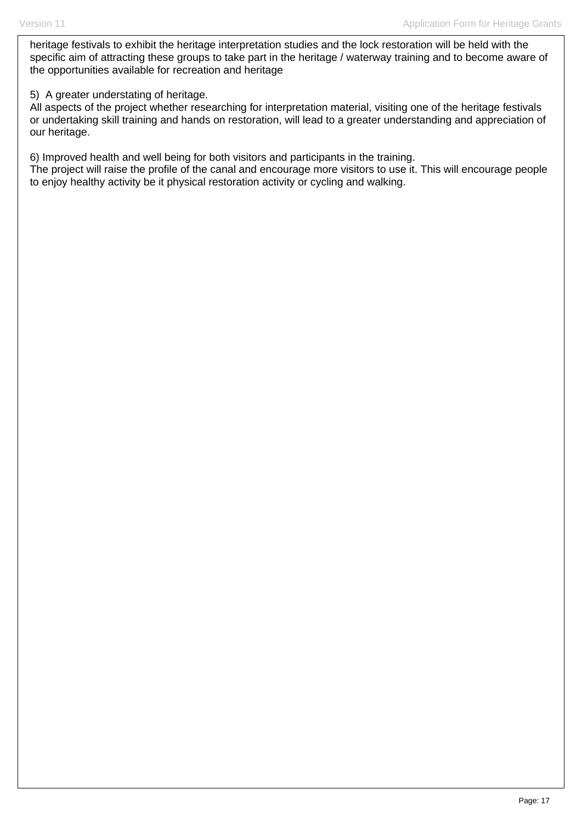heritage festivals to exhibit the heritage interpretation studies and the lock restoration will be held with the specific aim of attracting these groups to take part in the heritage / waterway training and to become aware of the opportunities available for recreation and heritage

### 5) A greater understating of heritage.

All aspects of the project whether researching for interpretation material, visiting one of the heritage festivals or undertaking skill training and hands on restoration, will lead to a greater understanding and appreciation of our heritage.

6) Improved health and well being for both visitors and participants in the training.

The project will raise the profile of the canal and encourage more visitors to use it. This will encourage people to enjoy healthy activity be it physical restoration activity or cycling and walking.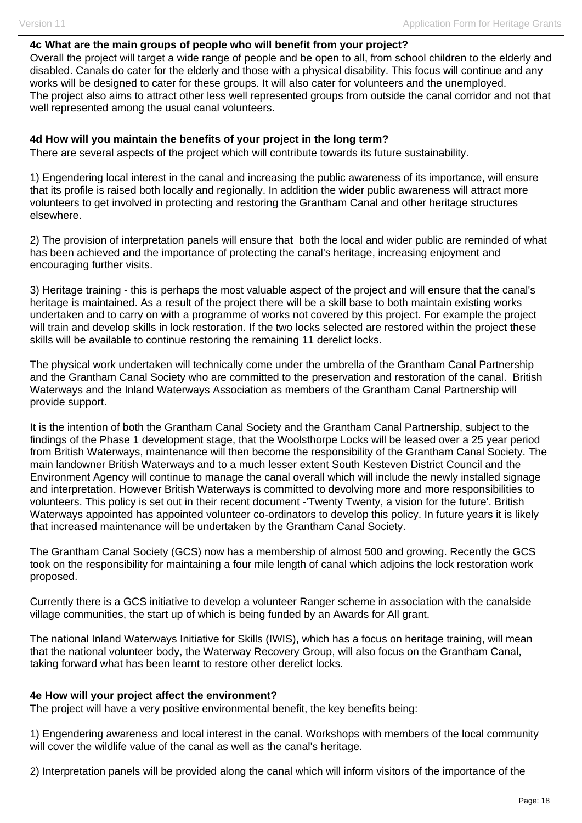#### **4c What are the main groups of people who will benefit from your project?**

Overall the project will target a wide range of people and be open to all, from school children to the elderly and disabled. Canals do cater for the elderly and those with a physical disability. This focus will continue and any works will be designed to cater for these groups. It will also cater for volunteers and the unemployed. The project also aims to attract other less well represented groups from outside the canal corridor and not that well represented among the usual canal volunteers.

#### **4d How will you maintain the benefits of your project in the long term?**

There are several aspects of the project which will contribute towards its future sustainability.

1) Engendering local interest in the canal and increasing the public awareness of its importance, will ensure that its profile is raised both locally and regionally. In addition the wider public awareness will attract more volunteers to get involved in protecting and restoring the Grantham Canal and other heritage structures elsewhere.

2) The provision of interpretation panels will ensure that both the local and wider public are reminded of what has been achieved and the importance of protecting the canal's heritage, increasing enjoyment and encouraging further visits.

3) Heritage training - this is perhaps the most valuable aspect of the project and will ensure that the canal's heritage is maintained. As a result of the project there will be a skill base to both maintain existing works undertaken and to carry on with a programme of works not covered by this project. For example the project will train and develop skills in lock restoration. If the two locks selected are restored within the project these skills will be available to continue restoring the remaining 11 derelict locks.

The physical work undertaken will technically come under the umbrella of the Grantham Canal Partnership and the Grantham Canal Society who are committed to the preservation and restoration of the canal. British Waterways and the Inland Waterways Association as members of the Grantham Canal Partnership will provide support.

It is the intention of both the Grantham Canal Society and the Grantham Canal Partnership, subject to the findings of the Phase 1 development stage, that the Woolsthorpe Locks will be leased over a 25 year period from British Waterways, maintenance will then become the responsibility of the Grantham Canal Society. The main landowner British Waterways and to a much lesser extent South Kesteven District Council and the Environment Agency will continue to manage the canal overall which will include the newly installed signage and interpretation. However British Waterways is committed to devolving more and more responsibilities to volunteers. This policy is set out in their recent document -'Twenty Twenty, a vision for the future'. British Waterways appointed has appointed volunteer co-ordinators to develop this policy. In future years it is likely that increased maintenance will be undertaken by the Grantham Canal Society.

The Grantham Canal Society (GCS) now has a membership of almost 500 and growing. Recently the GCS took on the responsibility for maintaining a four mile length of canal which adjoins the lock restoration work proposed.

Currently there is a GCS initiative to develop a volunteer Ranger scheme in association with the canalside village communities, the start up of which is being funded by an Awards for All grant.

The national Inland Waterways Initiative for Skills (IWIS), which has a focus on heritage training, will mean that the national volunteer body, the Waterway Recovery Group, will also focus on the Grantham Canal, taking forward what has been learnt to restore other derelict locks.

#### **4e How will your project affect the environment?**

The project will have a very positive environmental benefit, the key benefits being:

1) Engendering awareness and local interest in the canal. Workshops with members of the local community will cover the wildlife value of the canal as well as the canal's heritage.

2) Interpretation panels will be provided along the canal which will inform visitors of the importance of the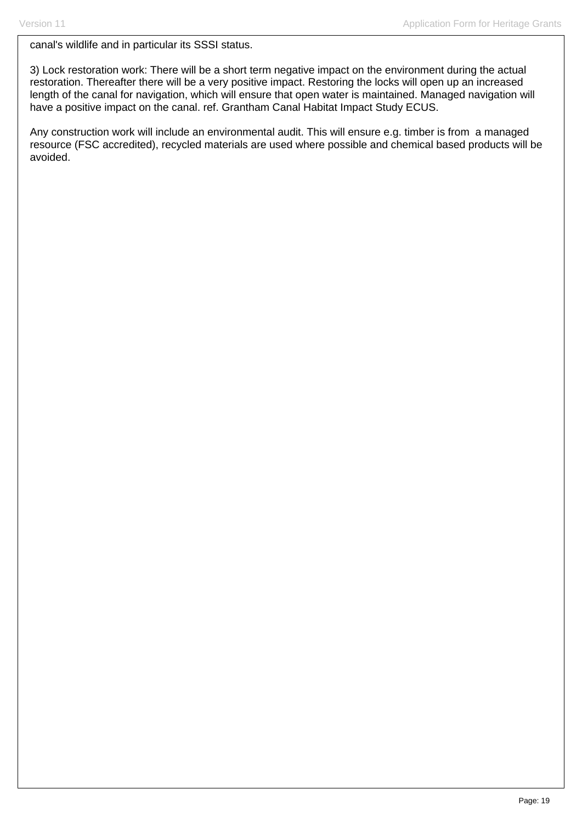canal's wildlife and in particular its SSSI status.

3) Lock restoration work: There will be a short term negative impact on the environment during the actual restoration. Thereafter there will be a very positive impact. Restoring the locks will open up an increased length of the canal for navigation, which will ensure that open water is maintained. Managed navigation will have a positive impact on the canal. ref. Grantham Canal Habitat Impact Study ECUS.

Any construction work will include an environmental audit. This will ensure e.g. timber is from a managed resource (FSC accredited), recycled materials are used where possible and chemical based products will be avoided.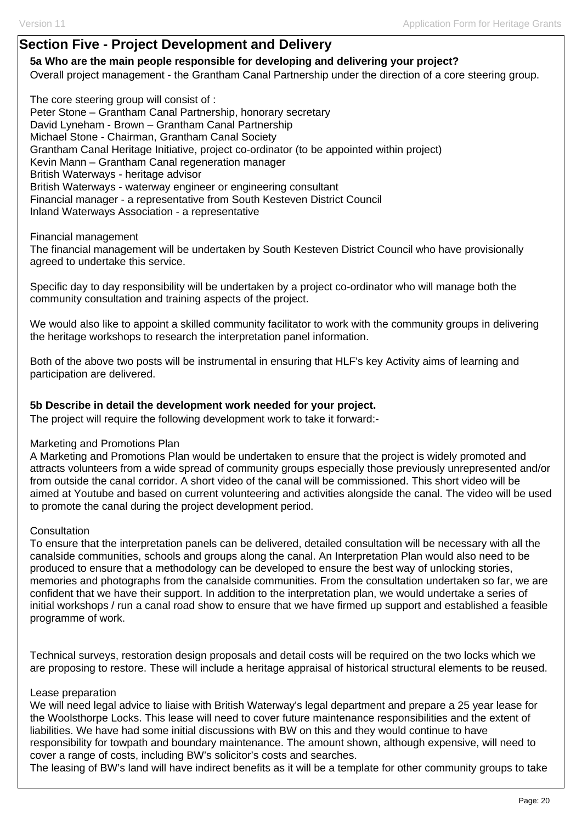## **Section Five - Project Development and Delivery**

**5a Who are the main people responsible for developing and delivering your project?**  Overall project management - the Grantham Canal Partnership under the direction of a core steering group.

The core steering group will consist of : Peter Stone – Grantham Canal Partnership, honorary secretary David Lyneham - Brown – Grantham Canal Partnership Michael Stone - Chairman, Grantham Canal Society Grantham Canal Heritage Initiative, project co-ordinator (to be appointed within project) Kevin Mann – Grantham Canal regeneration manager British Waterways - heritage advisor British Waterways - waterway engineer or engineering consultant Financial manager - a representative from South Kesteven District Council Inland Waterways Association - a representative

Financial management

The financial management will be undertaken by South Kesteven District Council who have provisionally agreed to undertake this service.

Specific day to day responsibility will be undertaken by a project co-ordinator who will manage both the community consultation and training aspects of the project.

We would also like to appoint a skilled community facilitator to work with the community groups in delivering the heritage workshops to research the interpretation panel information.

Both of the above two posts will be instrumental in ensuring that HLF's key Activity aims of learning and participation are delivered.

#### **5b Describe in detail the development work needed for your project.**

The project will require the following development work to take it forward:-

#### Marketing and Promotions Plan

A Marketing and Promotions Plan would be undertaken to ensure that the project is widely promoted and attracts volunteers from a wide spread of community groups especially those previously unrepresented and/or from outside the canal corridor. A short video of the canal will be commissioned. This short video will be aimed at Youtube and based on current volunteering and activities alongside the canal. The video will be used to promote the canal during the project development period.

#### **Consultation**

To ensure that the interpretation panels can be delivered, detailed consultation will be necessary with all the canalside communities, schools and groups along the canal. An Interpretation Plan would also need to be produced to ensure that a methodology can be developed to ensure the best way of unlocking stories, memories and photographs from the canalside communities. From the consultation undertaken so far, we are confident that we have their support. In addition to the interpretation plan, we would undertake a series of initial workshops / run a canal road show to ensure that we have firmed up support and established a feasible programme of work.

Technical surveys, restoration design proposals and detail costs will be required on the two locks which we are proposing to restore. These will include a heritage appraisal of historical structural elements to be reused.

#### Lease preparation

We will need legal advice to liaise with British Waterway's legal department and prepare a 25 year lease for the Woolsthorpe Locks. This lease will need to cover future maintenance responsibilities and the extent of liabilities. We have had some initial discussions with BW on this and they would continue to have responsibility for towpath and boundary maintenance. The amount shown, although expensive, will need to cover a range of costs, including BW's solicitor's costs and searches.

The leasing of BW's land will have indirect benefits as it will be a template for other community groups to take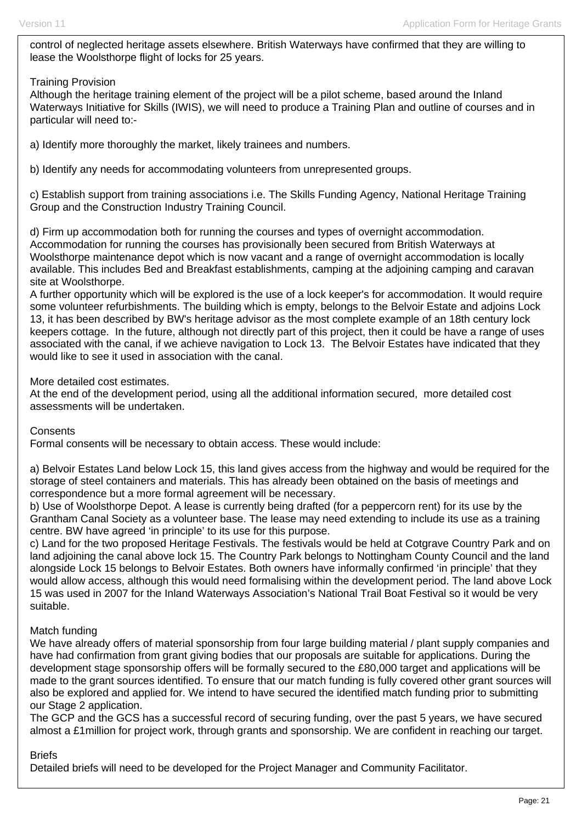control of neglected heritage assets elsewhere. British Waterways have confirmed that they are willing to lease the Woolsthorpe flight of locks for 25 years.

#### Training Provision

Although the heritage training element of the project will be a pilot scheme, based around the Inland Waterways Initiative for Skills (IWIS), we will need to produce a Training Plan and outline of courses and in particular will need to:-

a) Identify more thoroughly the market, likely trainees and numbers.

b) Identify any needs for accommodating volunteers from unrepresented groups.

c) Establish support from training associations i.e. The Skills Funding Agency, National Heritage Training Group and the Construction Industry Training Council.

d) Firm up accommodation both for running the courses and types of overnight accommodation. Accommodation for running the courses has provisionally been secured from British Waterways at Woolsthorpe maintenance depot which is now vacant and a range of overnight accommodation is locally available. This includes Bed and Breakfast establishments, camping at the adjoining camping and caravan site at Woolsthorpe.

A further opportunity which will be explored is the use of a lock keeper's for accommodation. It would require some volunteer refurbishments. The building which is empty, belongs to the Belvoir Estate and adjoins Lock 13, it has been described by BW's heritage advisor as the most complete example of an 18th century lock keepers cottage. In the future, although not directly part of this project, then it could be have a range of uses associated with the canal, if we achieve navigation to Lock 13. The Belvoir Estates have indicated that they would like to see it used in association with the canal.

More detailed cost estimates.

At the end of the development period, using all the additional information secured, more detailed cost assessments will be undertaken.

**Consents** 

Formal consents will be necessary to obtain access. These would include:

a) Belvoir Estates Land below Lock 15, this land gives access from the highway and would be required for the storage of steel containers and materials. This has already been obtained on the basis of meetings and correspondence but a more formal agreement will be necessary.

b) Use of Woolsthorpe Depot. A lease is currently being drafted (for a peppercorn rent) for its use by the Grantham Canal Society as a volunteer base. The lease may need extending to include its use as a training centre. BW have agreed 'in principle' to its use for this purpose.

c) Land for the two proposed Heritage Festivals. The festivals would be held at Cotgrave Country Park and on land adjoining the canal above lock 15. The Country Park belongs to Nottingham County Council and the land alongside Lock 15 belongs to Belvoir Estates. Both owners have informally confirmed 'in principle' that they would allow access, although this would need formalising within the development period. The land above Lock 15 was used in 2007 for the Inland Waterways Association's National Trail Boat Festival so it would be very suitable.

#### Match funding

We have already offers of material sponsorship from four large building material / plant supply companies and have had confirmation from grant giving bodies that our proposals are suitable for applications. During the development stage sponsorship offers will be formally secured to the £80,000 target and applications will be made to the grant sources identified. To ensure that our match funding is fully covered other grant sources will also be explored and applied for. We intend to have secured the identified match funding prior to submitting our Stage 2 application.

The GCP and the GCS has a successful record of securing funding, over the past 5 years, we have secured almost a £1million for project work, through grants and sponsorship. We are confident in reaching our target.

#### Briefs

Detailed briefs will need to be developed for the Project Manager and Community Facilitator.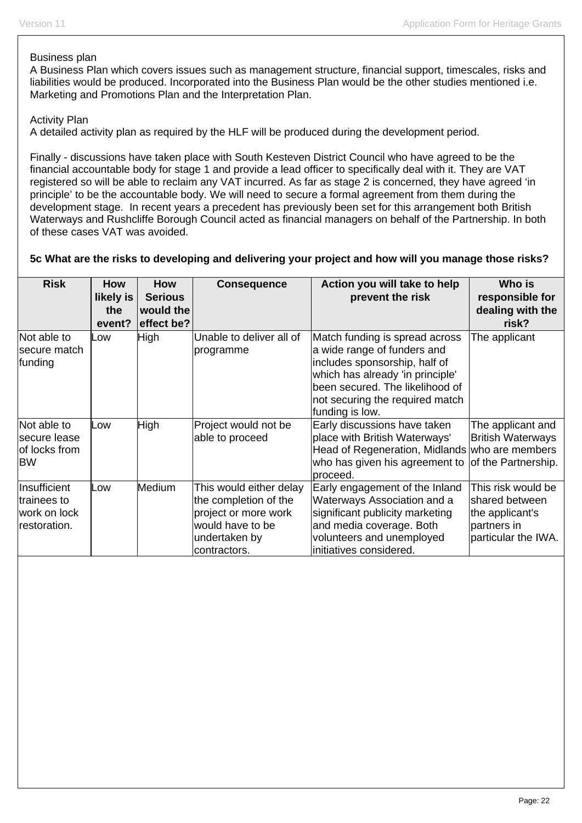#### Business plan

A Business Plan which covers issues such as management structure, financial support, timescales, risks and liabilities would be produced. Incorporated into the Business Plan would be the other studies mentioned i.e. Marketing and Promotions Plan and the Interpretation Plan.

#### Activity Plan

A detailed activity plan as required by the HLF will be produced during the development period.

Finally - discussions have taken place with South Kesteven District Council who have agreed to be the financial accountable body for stage 1 and provide a lead officer to specifically deal with it. They are VAT registered so will be able to reclaim any VAT incurred. As far as stage 2 is concerned, they have agreed 'in principle' to be the accountable body. We will need to secure a formal agreement from them during the development stage. In recent years a precedent has previously been set for this arrangement both British Waterways and Rushcliffe Borough Council acted as financial managers on behalf of the Partnership. In both of these cases VAT was avoided.

#### **5c What are the risks to developing and delivering your project and how will you manage those risks?**

| <b>Risk</b>                                                  | <b>How</b><br>likely is<br>the<br>event? | <b>How</b><br><b>Serious</b><br>would the<br>effect be? | <b>Consequence</b>                                                                                                            | Action you will take to help<br>prevent the risk                                                                                                                                                                            | Who is<br>responsible for<br>dealing with the<br>risk?                                        |
|--------------------------------------------------------------|------------------------------------------|---------------------------------------------------------|-------------------------------------------------------------------------------------------------------------------------------|-----------------------------------------------------------------------------------------------------------------------------------------------------------------------------------------------------------------------------|-----------------------------------------------------------------------------------------------|
| Not able to<br>secure match<br>funding                       | Low                                      | <b>High</b>                                             | Unable to deliver all of<br>programme                                                                                         | Match funding is spread across<br>a wide range of funders and<br>includes sponsorship, half of<br>which has already 'in principle'<br>been secured. The likelihood of<br>not securing the required match<br>funding is low. | The applicant                                                                                 |
| Not able to<br>Isecure lease<br>of locks from<br><b>BW</b>   | Low                                      | High                                                    | Project would not be<br>able to proceed                                                                                       | Early discussions have taken<br>place with British Waterways'<br>Head of Regeneration, Midlands who are members<br>who has given his agreement to of the Partnership.<br>proceed.                                           | The applicant and<br><b>British Waterways</b>                                                 |
| Insufficient<br>ltrainees to<br>work on lock<br>restoration. | Low                                      | Medium                                                  | This would either delay<br>the completion of the<br>project or more work<br>would have to be<br>undertaken by<br>contractors. | Early engagement of the Inland<br>Waterways Association and a<br>significant publicity marketing<br>and media coverage. Both<br>volunteers and unemployed<br>initiatives considered.                                        | This risk would be<br>shared between<br>the applicant's<br>partners in<br>particular the IWA. |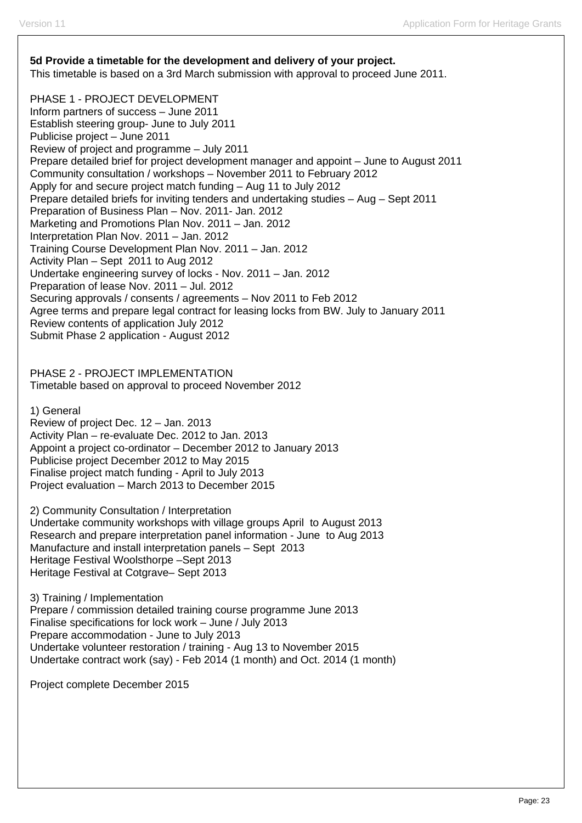## **5d Provide a timetable for the development and delivery of your project.**  This timetable is based on a 3rd March submission with approval to proceed June 2011.

PHASE 1 - PROJECT DEVELOPMENT Inform partners of success – June 2011 Establish steering group- June to July 2011 Publicise project – June 2011 Review of project and programme – July 2011 Prepare detailed brief for project development manager and appoint – June to August 2011 Community consultation / workshops – November 2011 to February 2012 Apply for and secure project match funding – Aug 11 to July 2012 Prepare detailed briefs for inviting tenders and undertaking studies – Aug – Sept 2011 Preparation of Business Plan – Nov. 2011- Jan. 2012 Marketing and Promotions Plan Nov. 2011 – Jan. 2012 Interpretation Plan Nov. 2011 – Jan. 2012 Training Course Development Plan Nov. 2011 – Jan. 2012 Activity Plan – Sept 2011 to Aug 2012 Undertake engineering survey of locks - Nov. 2011 – Jan. 2012 Preparation of lease Nov. 2011 – Jul. 2012 Securing approvals / consents / agreements – Nov 2011 to Feb 2012 Agree terms and prepare legal contract for leasing locks from BW. July to January 2011 Review contents of application July 2012 Submit Phase 2 application - August 2012

PHASE 2 - PROJECT IMPLEMENTATION Timetable based on approval to proceed November 2012

1) General

Review of project Dec. 12 – Jan. 2013 Activity Plan – re-evaluate Dec. 2012 to Jan. 2013 Appoint a project co-ordinator – December 2012 to January 2013 Publicise project December 2012 to May 2015 Finalise project match funding - April to July 2013 Project evaluation – March 2013 to December 2015

2) Community Consultation / Interpretation Undertake community workshops with village groups April to August 2013 Research and prepare interpretation panel information - June to Aug 2013 Manufacture and install interpretation panels – Sept 2013 Heritage Festival Woolsthorpe –Sept 2013 Heritage Festival at Cotgrave– Sept 2013

3) Training / Implementation Prepare / commission detailed training course programme June 2013 Finalise specifications for lock work – June / July 2013 Prepare accommodation - June to July 2013 Undertake volunteer restoration / training - Aug 13 to November 2015 Undertake contract work (say) - Feb 2014 (1 month) and Oct. 2014 (1 month)

Project complete December 2015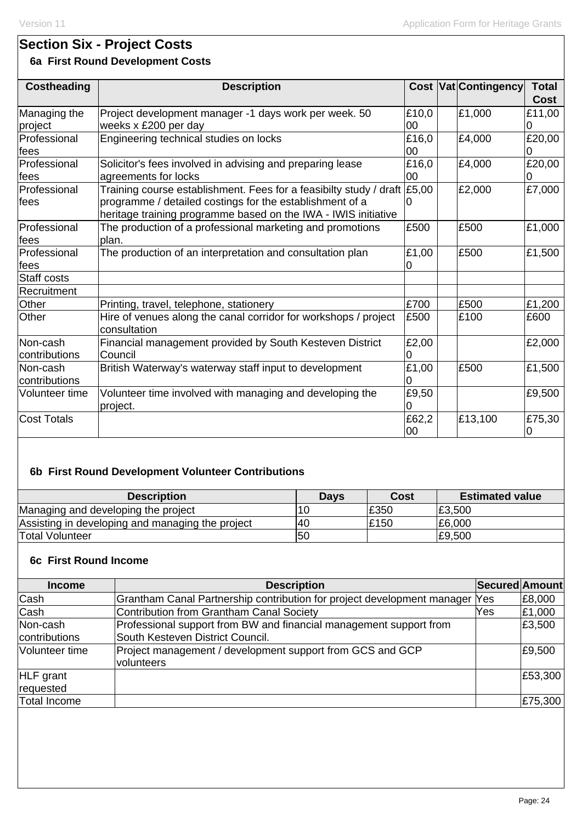# **Section Six - Project Costs**

## **6a First Round Development Costs**

| <b>Costheading</b> | <b>Description</b>                                                                  |       | <b>Cost Vat Contingency</b> | <b>Total</b> |
|--------------------|-------------------------------------------------------------------------------------|-------|-----------------------------|--------------|
|                    |                                                                                     |       |                             | <b>Cost</b>  |
| Managing the       | Project development manager -1 days work per week. 50                               | £10,0 | £1,000                      | £11,00       |
| project            | weeks x £200 per day                                                                | 00    |                             | 0            |
| Professional       | Engineering technical studies on locks                                              | £16,0 | £4,000                      | £20,00       |
| fees               |                                                                                     | 00    |                             |              |
| Professional       | Solicitor's fees involved in advising and preparing lease                           | £16,0 | £4,000                      | £20,00       |
| fees               | agreements for locks                                                                | 00    |                             |              |
| Professional       | Training course establishment. Fees for a feasibilty study / draft $\mathsf{E}5,00$ |       | £2,000                      | £7,000       |
| lfees              | programme / detailed costings for the establishment of a                            |       |                             |              |
|                    | heritage training programme based on the IWA - IWIS initiative                      |       |                             |              |
| Professional       | The production of a professional marketing and promotions                           | £500  | £500                        | £1,000       |
| <b>fees</b>        | plan.                                                                               |       |                             |              |
| Professional       | The production of an interpretation and consultation plan                           | £1,00 | £500                        | £1,500       |
| fees               |                                                                                     |       |                             |              |
| Staff costs        |                                                                                     |       |                             |              |
| Recruitment        |                                                                                     |       |                             |              |
| Other              | Printing, travel, telephone, stationery                                             | £700  | £500                        | £1,200       |
| <b>Other</b>       | Hire of venues along the canal corridor for workshops / project<br>consultation     | £500  | £100                        | £600         |
| Non-cash           | Financial management provided by South Kesteven District                            | £2,00 |                             | £2,000       |
| contributions      | <b>Council</b>                                                                      |       |                             |              |
| Non-cash           | British Waterway's waterway staff input to development                              | £1,00 | £500                        | £1,500       |
| contributions      |                                                                                     |       |                             |              |
| Volunteer time     | Volunteer time involved with managing and developing the                            | £9,50 |                             | £9,500       |
|                    | project.                                                                            |       |                             |              |
| <b>Cost Totals</b> |                                                                                     | £62,2 | £13,100                     | £75,30       |
|                    |                                                                                     | 00    |                             | 10           |

## **6b First Round Development Volunteer Contributions**

| <b>Description</b>                               | Days | Cost | <b>Estimated value</b> |
|--------------------------------------------------|------|------|------------------------|
| Managing and developing the project              | 16   | £350 | £3,500                 |
| Assisting in developing and managing the project | 40   | £150 | £6,000                 |
| <b>Total Volunteer</b>                           | 50   |      | £9,500                 |

## **6c First Round Income**

| <b>Income</b>                 | <b>Description</b>                                                                                     | Secured Amount |         |
|-------------------------------|--------------------------------------------------------------------------------------------------------|----------------|---------|
| Cash                          | Grantham Canal Partnership contribution for project development manager Yes                            |                | £8,000  |
| Cash                          | Contribution from Grantham Canal Society                                                               | Yes            | £1,000  |
| Non-cash<br>contributions     | Professional support from BW and financial management support from<br>South Kesteven District Council. |                | £3,500  |
| Volunteer time                | Project management / development support from GCS and GCP<br>volunteers                                |                | £9,500  |
| <b>HLF</b> grant<br>requested |                                                                                                        |                | £53,300 |
| <b>Total Income</b>           |                                                                                                        |                | £75,300 |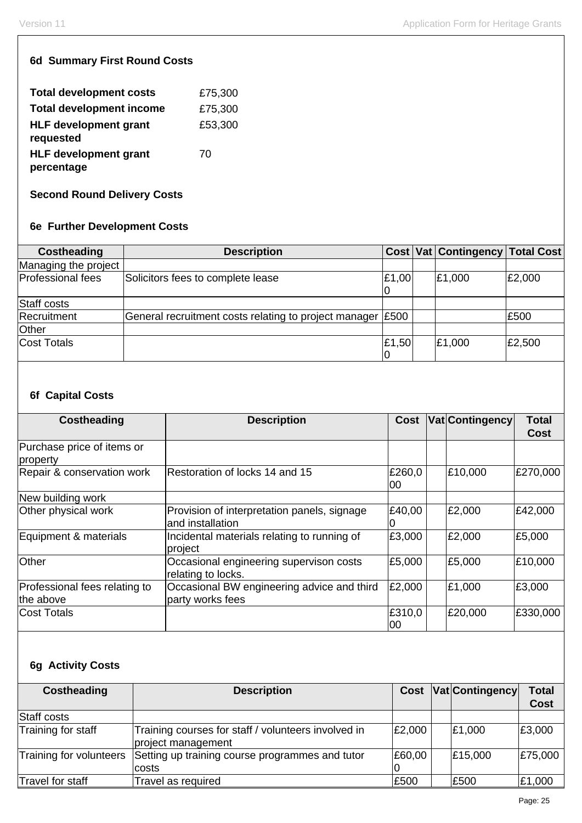## **6d Summary First Round Costs**

| <b>Total development costs</b>             | £75,300 |
|--------------------------------------------|---------|
| <b>Total development income</b>            | £75,300 |
| <b>HLF development grant</b><br>requested  | £53,300 |
| <b>HLF development grant</b><br>percentage | 70      |

## **Second Round Delivery Costs**

## **6e Further Development Costs**

| Costheading          | <b>Description</b>                                         |       | Cost Vat Contingency Total Cost |        |
|----------------------|------------------------------------------------------------|-------|---------------------------------|--------|
| Managing the project |                                                            |       |                                 |        |
| Professional fees    | Solicitors fees to complete lease                          | E1,00 | £1,000                          | £2,000 |
| Staff costs          |                                                            |       |                                 |        |
| Recruitment          | General recruitment costs relating to project manager £500 |       |                                 | £500   |
| Other                |                                                            |       |                                 |        |
| Cost Totals          |                                                            | £1,50 | £1,000                          | £2,500 |

## **6f Capital Costs**

| Costheading                            | <b>Description</b>                                              | <b>Cost</b>   | <b>Vat Contingency</b> | <b>Total</b><br><b>Cost</b> |
|----------------------------------------|-----------------------------------------------------------------|---------------|------------------------|-----------------------------|
| Purchase price of items or<br>property |                                                                 |               |                        |                             |
| Repair & conservation work             | Restoration of locks 14 and 15                                  | £260,0<br>00  | £10,000                | £270,000                    |
| New building work                      |                                                                 |               |                        |                             |
| Other physical work                    | Provision of interpretation panels, signage<br>and installation | £40,00        | £2,000                 | £42,000                     |
| Equipment & materials                  | Incidental materials relating to running of<br>project          | £3,000        | £2,000                 | £5,000                      |
| Other                                  | Occasional engineering supervison costs<br>relating to locks.   | £5,000        | £5,000                 | £10,000                     |
| Professional fees relating to          | Occasional BW engineering advice and third                      | £2,000        | £1,000                 | £3,000                      |
| the above                              | party works fees                                                |               |                        |                             |
| <b>Cost Totals</b>                     |                                                                 | £310,0<br>100 | £20,000                | £330,000                    |

## **6g Activity Costs**

| <b>Costheading</b>      | <b>Description</b>                                                        | Cost   | <b>Vat Contingency</b> | <b>Total</b><br><b>Cost</b> |
|-------------------------|---------------------------------------------------------------------------|--------|------------------------|-----------------------------|
| Staff costs             |                                                                           |        |                        |                             |
| Training for staff      | Training courses for staff / volunteers involved in<br>project management | £2,000 | £1,000                 | £3,000                      |
| Training for volunteers | Setting up training course programmes and tutor<br>costs                  | £60,00 | £15,000                | £75,000                     |
| Travel for staff        | Travel as required                                                        | £500   | £500                   | £1,000                      |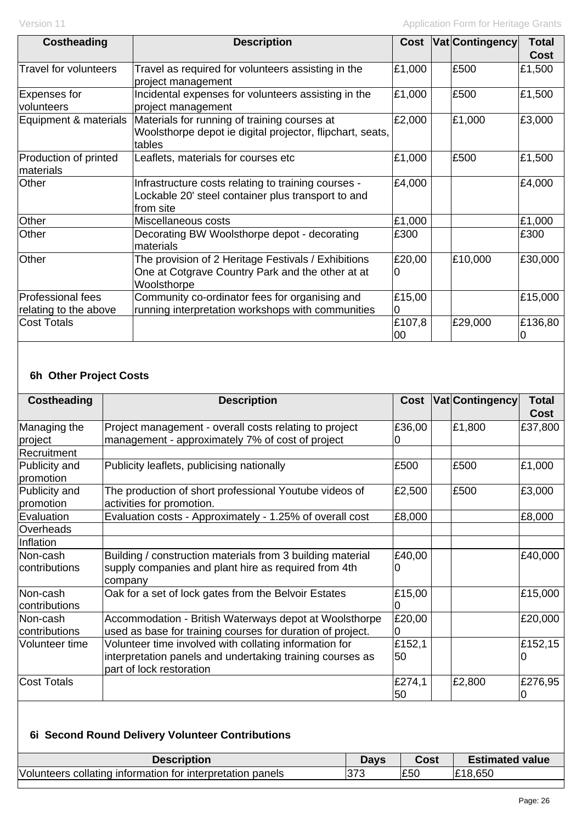| Costheading                        | <b>Description</b>                                                                                                     | Cost         | <b>Vat Contingency</b> | <b>Total</b> |
|------------------------------------|------------------------------------------------------------------------------------------------------------------------|--------------|------------------------|--------------|
|                                    |                                                                                                                        |              |                        | <b>Cost</b>  |
| Travel for volunteers              | Travel as required for volunteers assisting in the<br>project management                                               | £1,000       | £500                   | £1,500       |
| Expenses for<br>volunteers         | Incidental expenses for volunteers assisting in the<br>project management                                              | £1,000       | £500                   | £1,500       |
| Equipment & materials              | Materials for running of training courses at<br>Woolsthorpe depot ie digital projector, flipchart, seats,<br>tables    | £2,000       | £1,000                 | £3,000       |
| Production of printed<br>materials | Leaflets, materials for courses etc                                                                                    | £1,000       | £500                   | £1,500       |
| Other                              | Infrastructure costs relating to training courses -<br>Lockable 20' steel container plus transport to and<br>from site | £4,000       |                        | £4,000       |
| Other                              | Miscellaneous costs                                                                                                    | £1,000       |                        | £1,000       |
| Other                              | Decorating BW Woolsthorpe depot - decorating<br>materials                                                              | £300         |                        | £300         |
| Other                              | The provision of 2 Heritage Festivals / Exhibitions<br>One at Cotgrave Country Park and the other at at<br>Woolsthorpe | £20,00<br>10 | £10,000                | £30,000      |
| Professional fees                  | Community co-ordinator fees for organising and                                                                         | £15,00       |                        | £15,000      |
| relating to the above              | running interpretation workshops with communities                                                                      | 10           |                        |              |
| Cost Totals                        |                                                                                                                        | £107,8<br>00 | £29,000                | £136,80<br>Ю |

## **6h Other Project Costs**

| Project management - overall costs relating to project<br>management - approximately 7% of cost of project<br>Publicity leaflets, publicising nationally<br>The production of short professional Youtube videos of<br>activities for promotion.<br>Evaluation costs - Approximately - 1.25% of overall cost | £36,00<br>£500<br>£2,500<br>£8,000 | £1,800<br>£500<br>£500 | Cost<br>£37,800<br>£1,000<br>£3,000 |
|-------------------------------------------------------------------------------------------------------------------------------------------------------------------------------------------------------------------------------------------------------------------------------------------------------------|------------------------------------|------------------------|-------------------------------------|
|                                                                                                                                                                                                                                                                                                             |                                    |                        |                                     |
|                                                                                                                                                                                                                                                                                                             |                                    |                        |                                     |
|                                                                                                                                                                                                                                                                                                             |                                    |                        |                                     |
|                                                                                                                                                                                                                                                                                                             |                                    |                        |                                     |
|                                                                                                                                                                                                                                                                                                             |                                    |                        | £8,000                              |
|                                                                                                                                                                                                                                                                                                             |                                    |                        |                                     |
|                                                                                                                                                                                                                                                                                                             |                                    |                        |                                     |
| Building / construction materials from 3 building material<br>supply companies and plant hire as required from 4th<br>company                                                                                                                                                                               | £40,00<br>$\mathbf{0}$             |                        | £40,000                             |
| Oak for a set of lock gates from the Belvoir Estates                                                                                                                                                                                                                                                        | £15,00<br>n                        |                        | £15,000                             |
| Accommodation - British Waterways depot at Woolsthorpe<br>used as base for training courses for duration of project.                                                                                                                                                                                        | £20,00                             |                        | £20,000                             |
| Volunteer time involved with collating information for<br>interpretation panels and undertaking training courses as<br>part of lock restoration                                                                                                                                                             | £152,1<br>50                       |                        | £152,15                             |
|                                                                                                                                                                                                                                                                                                             | £274,1<br>50                       | £2,800                 | £276,95<br>0                        |
|                                                                                                                                                                                                                                                                                                             |                                    |                        |                                     |

## **6i Second Round Delivery Volunteer Contributions**

| <b>Description</b>                                                        | Davs     | Cost | <b>Estimated value</b> |
|---------------------------------------------------------------------------|----------|------|------------------------|
| <b>Volunteers</b><br>, collating information for interpretation<br>panels | 373<br>J | £50  | .650                   |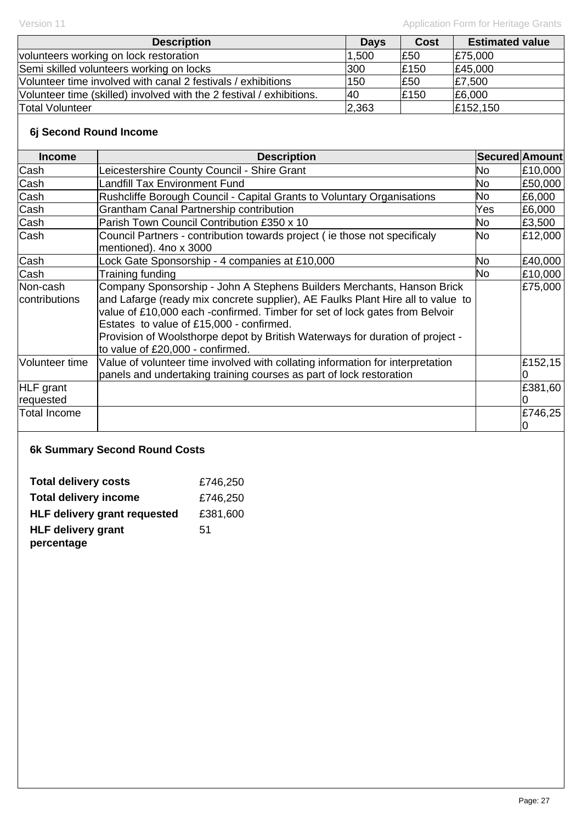| <b>Description</b>                                                   | <b>Days</b> | <b>Cost</b> | <b>Estimated value</b> |
|----------------------------------------------------------------------|-------------|-------------|------------------------|
| volunteers working on lock restoration                               | .500        | £50         | £75,000                |
| Semi skilled volunteers working on locks                             | 300         | £150        | £45,000                |
| Volunteer time involved with canal 2 festivals / exhibitions         | 150         | £50         | £7,500                 |
| Volunteer time (skilled) involved with the 2 festival / exhibitions. | 140         | £150        | E6,000                 |
| <b>Total Volunteer</b>                                               | 2,363       |             | £152,150               |

## **6j Second Round Income**

| <b>Income</b>             | <b>Description</b>                                                                                                                                                                                                                                                                                                                                                                                        | Secured Amount |         |
|---------------------------|-----------------------------------------------------------------------------------------------------------------------------------------------------------------------------------------------------------------------------------------------------------------------------------------------------------------------------------------------------------------------------------------------------------|----------------|---------|
| Cash                      | Leicestershire County Council - Shire Grant                                                                                                                                                                                                                                                                                                                                                               | No             | £10,000 |
| Cash                      | <b>Landfill Tax Environment Fund</b>                                                                                                                                                                                                                                                                                                                                                                      | No             | £50,000 |
| Cash                      | Rushcliffe Borough Council - Capital Grants to Voluntary Organisations                                                                                                                                                                                                                                                                                                                                    | No             | £6,000  |
| Cash                      | <b>Grantham Canal Partnership contribution</b>                                                                                                                                                                                                                                                                                                                                                            | Yes            | £6,000  |
| Cash                      | Parish Town Council Contribution £350 x 10                                                                                                                                                                                                                                                                                                                                                                | No             | £3,500  |
| Cash                      | Council Partners - contribution towards project (ie those not specificaly<br>mentioned). 4no x 3000                                                                                                                                                                                                                                                                                                       | <b>No</b>      | £12,000 |
| Cash                      | Lock Gate Sponsorship - 4 companies at £10,000                                                                                                                                                                                                                                                                                                                                                            | <b>No</b>      | £40,000 |
| Cash                      | Training funding                                                                                                                                                                                                                                                                                                                                                                                          | <b>No</b>      | £10,000 |
| Non-cash<br>contributions | Company Sponsorship - John A Stephens Builders Merchants, Hanson Brick<br>and Lafarge (ready mix concrete supplier), AE Faulks Plant Hire all to value to<br>value of £10,000 each -confirmed. Timber for set of lock gates from Belvoir<br>Estates to value of £15,000 - confirmed.<br>Provision of Woolsthorpe depot by British Waterways for duration of project -<br>to value of £20,000 - confirmed. |                | £75,000 |
| Volunteer time            | Value of volunteer time involved with collating information for interpretation<br>panels and undertaking training courses as part of lock restoration                                                                                                                                                                                                                                                     |                | £152,15 |
| HLF grant<br>requested    |                                                                                                                                                                                                                                                                                                                                                                                                           |                | £381,60 |
| Total Income              |                                                                                                                                                                                                                                                                                                                                                                                                           |                | £746,25 |

## **6k Summary Second Round Costs**

| <b>Total delivery costs</b>         | £746,250 |
|-------------------------------------|----------|
| <b>Total delivery income</b>        | £746,250 |
| <b>HLF delivery grant requested</b> | £381,600 |
| <b>HLF delivery grant</b>           | 51       |
| percentage                          |          |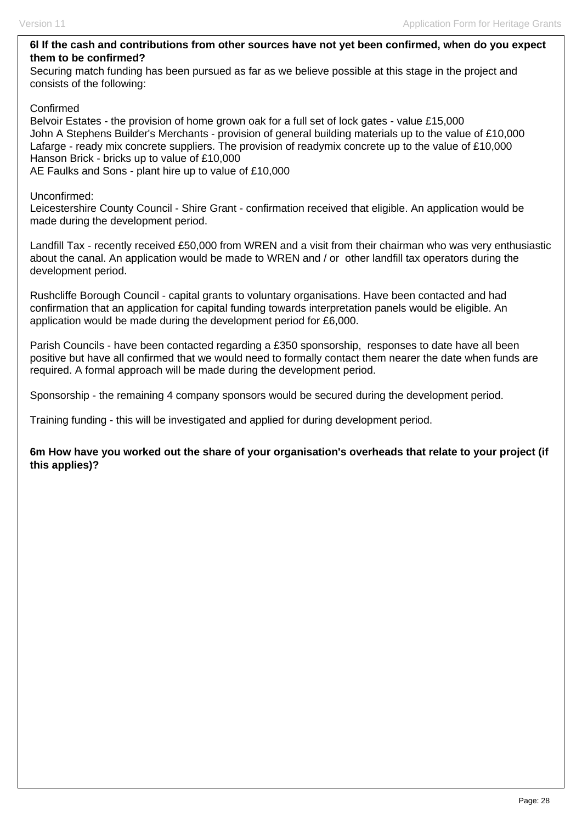#### **6l If the cash and contributions from other sources have not yet been confirmed, when do you expect them to be confirmed?**

Securing match funding has been pursued as far as we believe possible at this stage in the project and consists of the following:

#### Confirmed

Belvoir Estates - the provision of home grown oak for a full set of lock gates - value £15,000 John A Stephens Builder's Merchants - provision of general building materials up to the value of £10,000 Lafarge - ready mix concrete suppliers. The provision of readymix concrete up to the value of £10,000 Hanson Brick - bricks up to value of £10,000 AE Faulks and Sons - plant hire up to value of £10,000

#### Unconfirmed:

Leicestershire County Council - Shire Grant - confirmation received that eligible. An application would be made during the development period.

Landfill Tax - recently received £50,000 from WREN and a visit from their chairman who was very enthusiastic about the canal. An application would be made to WREN and / or other landfill tax operators during the development period.

Rushcliffe Borough Council - capital grants to voluntary organisations. Have been contacted and had confirmation that an application for capital funding towards interpretation panels would be eligible. An application would be made during the development period for £6,000.

Parish Councils - have been contacted regarding a £350 sponsorship, responses to date have all been positive but have all confirmed that we would need to formally contact them nearer the date when funds are required. A formal approach will be made during the development period.

Sponsorship - the remaining 4 company sponsors would be secured during the development period.

Training funding - this will be investigated and applied for during development period.

**6m How have you worked out the share of your organisation's overheads that relate to your project (if this applies)?**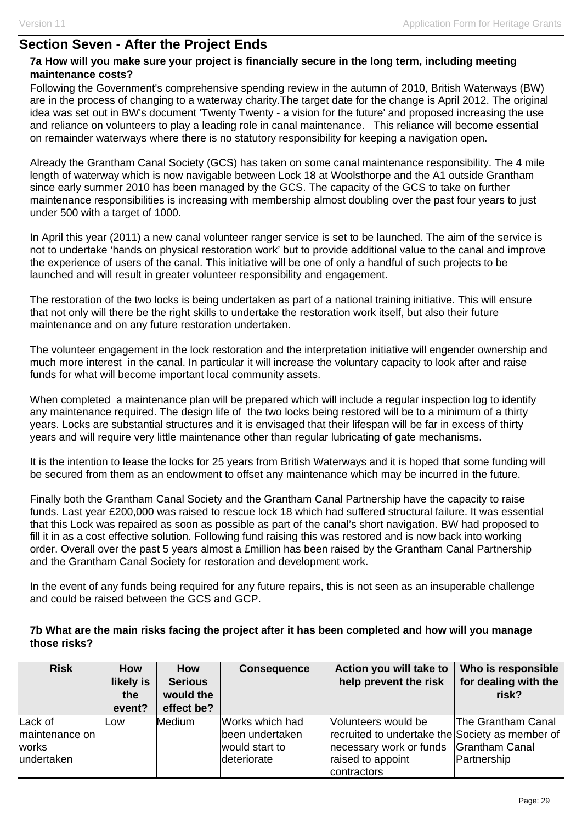## **Section Seven - After the Project Ends**

### **7a How will you make sure your project is financially secure in the long term, including meeting maintenance costs?**

Following the Government's comprehensive spending review in the autumn of 2010, British Waterways (BW) are in the process of changing to a waterway charity.The target date for the change is April 2012. The original idea was set out in BW's document 'Twenty Twenty - a vision for the future' and proposed increasing the use and reliance on volunteers to play a leading role in canal maintenance. This reliance will become essential on remainder waterways where there is no statutory responsibility for keeping a navigation open.

Already the Grantham Canal Society (GCS) has taken on some canal maintenance responsibility. The 4 mile length of waterway which is now navigable between Lock 18 at Woolsthorpe and the A1 outside Grantham since early summer 2010 has been managed by the GCS. The capacity of the GCS to take on further maintenance responsibilities is increasing with membership almost doubling over the past four years to just under 500 with a target of 1000.

In April this year (2011) a new canal volunteer ranger service is set to be launched. The aim of the service is not to undertake 'hands on physical restoration work' but to provide additional value to the canal and improve the experience of users of the canal. This initiative will be one of only a handful of such projects to be launched and will result in greater volunteer responsibility and engagement.

The restoration of the two locks is being undertaken as part of a national training initiative. This will ensure that not only will there be the right skills to undertake the restoration work itself, but also their future maintenance and on any future restoration undertaken.

The volunteer engagement in the lock restoration and the interpretation initiative will engender ownership and much more interest in the canal. In particular it will increase the voluntary capacity to look after and raise funds for what will become important local community assets.

When completed a maintenance plan will be prepared which will include a regular inspection log to identify any maintenance required. The design life of the two locks being restored will be to a minimum of a thirty years. Locks are substantial structures and it is envisaged that their lifespan will be far in excess of thirty years and will require very little maintenance other than regular lubricating of gate mechanisms.

It is the intention to lease the locks for 25 years from British Waterways and it is hoped that some funding will be secured from them as an endowment to offset any maintenance which may be incurred in the future.

Finally both the Grantham Canal Society and the Grantham Canal Partnership have the capacity to raise funds. Last year £200,000 was raised to rescue lock 18 which had suffered structural failure. It was essential that this Lock was repaired as soon as possible as part of the canal's short navigation. BW had proposed to fill it in as a cost effective solution. Following fund raising this was restored and is now back into working order. Overall over the past 5 years almost a £million has been raised by the Grantham Canal Partnership and the Grantham Canal Society for restoration and development work.

In the event of any funds being required for any future repairs, this is not seen as an insuperable challenge and could be raised between the GCS and GCP.

#### **7b What are the main risks facing the project after it has been completed and how will you manage those risks?**

| <b>Risk</b>                                      | <b>How</b><br>likely is<br>the<br>event? | <b>How</b><br><b>Serious</b><br>would the<br>effect be? | <b>Consequence</b>                                                  | Action you will take to<br>help prevent the risk                                                                                                     | Who is responsible<br>for dealing with the<br>risk? |
|--------------------------------------------------|------------------------------------------|---------------------------------------------------------|---------------------------------------------------------------------|------------------------------------------------------------------------------------------------------------------------------------------------------|-----------------------------------------------------|
| Lack of<br>maintenance on<br>works<br>undertaken | Low                                      | <b>Medium</b>                                           | Works which had<br>been undertaken<br>would start to<br>deteriorate | Volunteers would be<br>recruited to undertake the Society as member of<br>necessary work or funds Grantham Canal<br>raised to appoint<br>contractors | <b>The Grantham Canal</b><br>Partnership            |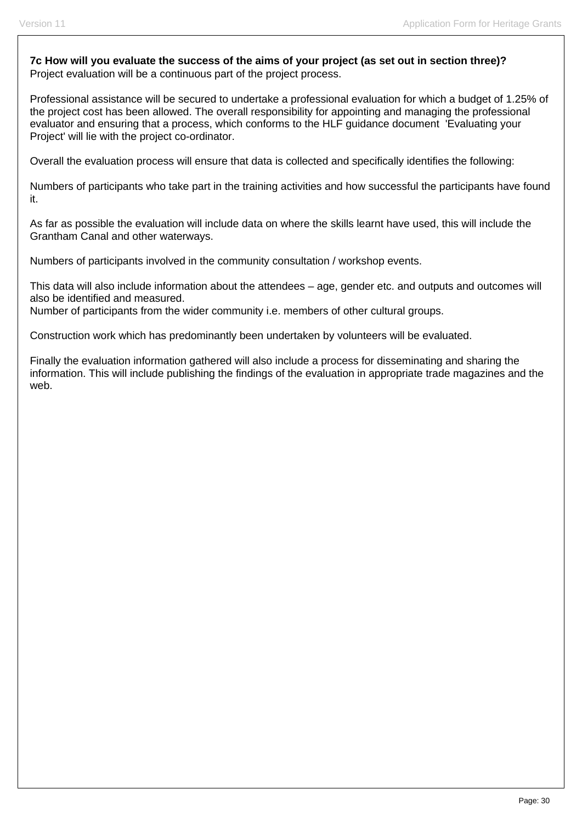**7c How will you evaluate the success of the aims of your project (as set out in section three)?**  Project evaluation will be a continuous part of the project process.

Professional assistance will be secured to undertake a professional evaluation for which a budget of 1.25% of the project cost has been allowed. The overall responsibility for appointing and managing the professional evaluator and ensuring that a process, which conforms to the HLF guidance document 'Evaluating your Project' will lie with the project co-ordinator.

Overall the evaluation process will ensure that data is collected and specifically identifies the following:

Numbers of participants who take part in the training activities and how successful the participants have found it.

As far as possible the evaluation will include data on where the skills learnt have used, this will include the Grantham Canal and other waterways.

Numbers of participants involved in the community consultation / workshop events.

This data will also include information about the attendees – age, gender etc. and outputs and outcomes will also be identified and measured.

Number of participants from the wider community i.e. members of other cultural groups.

Construction work which has predominantly been undertaken by volunteers will be evaluated.

Finally the evaluation information gathered will also include a process for disseminating and sharing the information. This will include publishing the findings of the evaluation in appropriate trade magazines and the web.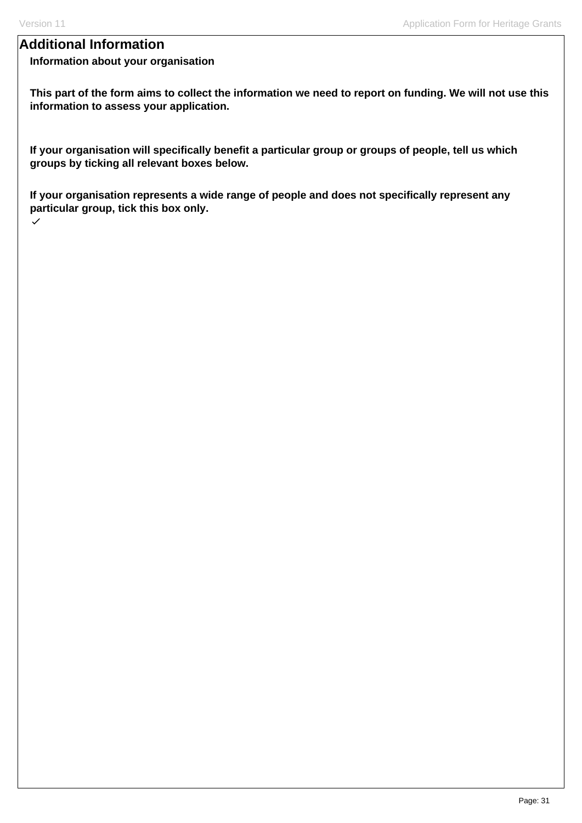## **Additional Information**

### **Information about your organisation**

**This part of the form aims to collect the information we need to report on funding. We will not use this information to assess your application.**

**If your organisation will specifically benefit a particular group or groups of people, tell us which groups by ticking all relevant boxes below.** 

**If your organisation represents a wide range of people and does not specifically represent any particular group, tick this box only.**  $\checkmark$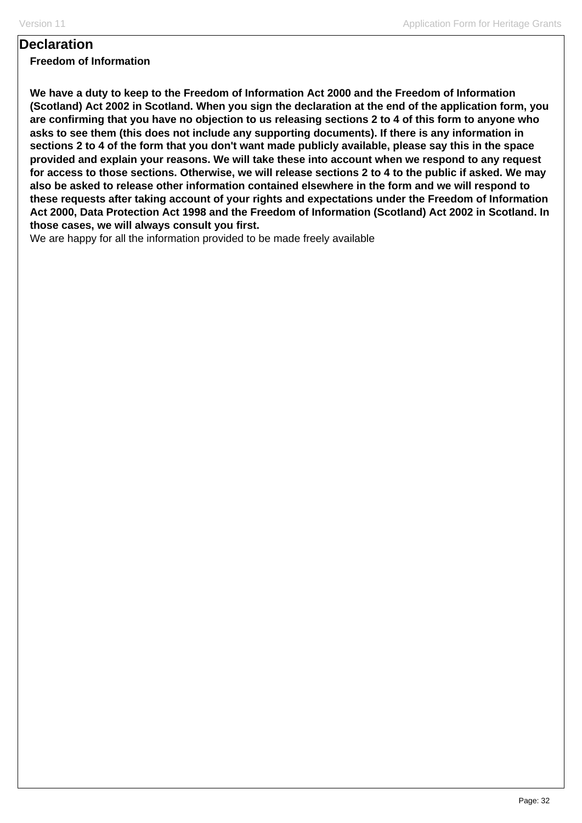## **Declaration**

**Freedom of Information**

**We have a duty to keep to the Freedom of Information Act 2000 and the Freedom of Information (Scotland) Act 2002 in Scotland. When you sign the declaration at the end of the application form, you are confirming that you have no objection to us releasing sections 2 to 4 of this form to anyone who asks to see them (this does not include any supporting documents). If there is any information in sections 2 to 4 of the form that you don't want made publicly available, please say this in the space provided and explain your reasons. We will take these into account when we respond to any request for access to those sections. Otherwise, we will release sections 2 to 4 to the public if asked. We may also be asked to release other information contained elsewhere in the form and we will respond to these requests after taking account of your rights and expectations under the Freedom of Information Act 2000, Data Protection Act 1998 and the Freedom of Information (Scotland) Act 2002 in Scotland. In those cases, we will always consult you first.** 

We are happy for all the information provided to be made freely available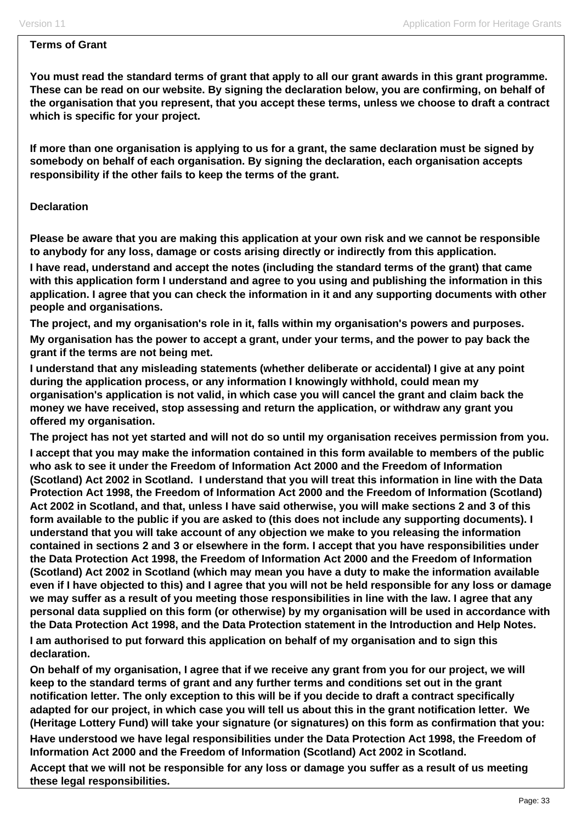#### **Terms of Grant**

**You must read the standard terms of grant that apply to all our grant awards in this grant programme. These can be read on our website. By signing the declaration below, you are confirming, on behalf of the organisation that you represent, that you accept these terms, unless we choose to draft a contract which is specific for your project.** 

**If more than one organisation is applying to us for a grant, the same declaration must be signed by somebody on behalf of each organisation. By signing the declaration, each organisation accepts responsibility if the other fails to keep the terms of the grant.** 

#### **Declaration**

**Please be aware that you are making this application at your own risk and we cannot be responsible to anybody for any loss, damage or costs arising directly or indirectly from this application.** 

**I have read, understand and accept the notes (including the standard terms of the grant) that came with this application form I understand and agree to you using and publishing the information in this application. I agree that you can check the information in it and any supporting documents with other people and organisations.** 

**The project, and my organisation's role in it, falls within my organisation's powers and purposes.** 

**My organisation has the power to accept a grant, under your terms, and the power to pay back the grant if the terms are not being met.** 

**I understand that any misleading statements (whether deliberate or accidental) I give at any point during the application process, or any information I knowingly withhold, could mean my organisation's application is not valid, in which case you will cancel the grant and claim back the money we have received, stop assessing and return the application, or withdraw any grant you offered my organisation.** 

**The project has not yet started and will not do so until my organisation receives permission from you.** 

**I accept that you may make the information contained in this form available to members of the public who ask to see it under the Freedom of Information Act 2000 and the Freedom of Information (Scotland) Act 2002 in Scotland. I understand that you will treat this information in line with the Data Protection Act 1998, the Freedom of Information Act 2000 and the Freedom of Information (Scotland) Act 2002 in Scotland, and that, unless I have said otherwise, you will make sections 2 and 3 of this form available to the public if you are asked to (this does not include any supporting documents). I understand that you will take account of any objection we make to you releasing the information contained in sections 2 and 3 or elsewhere in the form. I accept that you have responsibilities under the Data Protection Act 1998, the Freedom of Information Act 2000 and the Freedom of Information (Scotland) Act 2002 in Scotland (which may mean you have a duty to make the information available even if I have objected to this) and I agree that you will not be held responsible for any loss or damage we may suffer as a result of you meeting those responsibilities in line with the law. I agree that any personal data supplied on this form (or otherwise) by my organisation will be used in accordance with the Data Protection Act 1998, and the Data Protection statement in the Introduction and Help Notes.** 

**I am authorised to put forward this application on behalf of my organisation and to sign this declaration.** 

**On behalf of my organisation, I agree that if we receive any grant from you for our project, we will keep to the standard terms of grant and any further terms and conditions set out in the grant notification letter. The only exception to this will be if you decide to draft a contract specifically adapted for our project, in which case you will tell us about this in the grant notification letter. We (Heritage Lottery Fund) will take your signature (or signatures) on this form as confirmation that you:** 

**Have understood we have legal responsibilities under the Data Protection Act 1998, the Freedom of Information Act 2000 and the Freedom of Information (Scotland) Act 2002 in Scotland.** 

**Accept that we will not be responsible for any loss or damage you suffer as a result of us meeting these legal responsibilities.**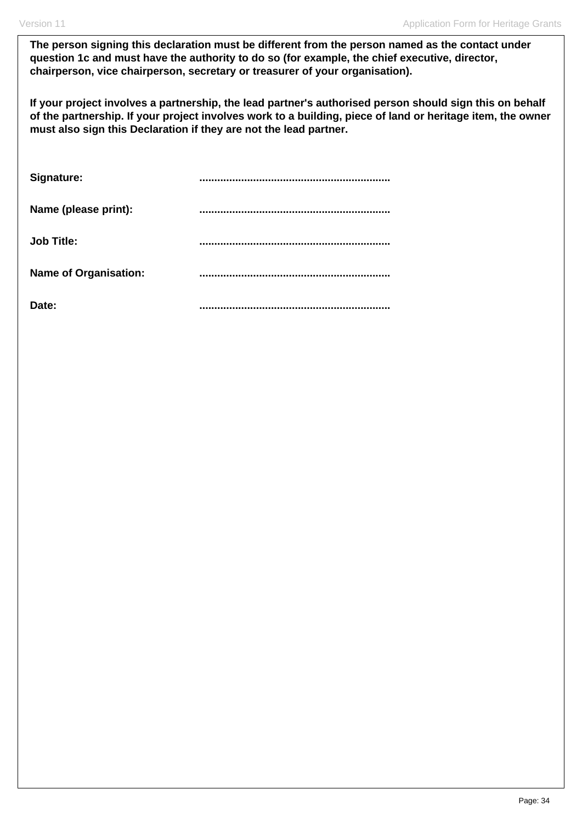**The person signing this declaration must be different from the person named as the contact under question 1c and must have the authority to do so (for example, the chief executive, director, chairperson, vice chairperson, secretary or treasurer of your organisation).**

**If your project involves a partnership, the lead partner's authorised person should sign this on behalf of the partnership. If your project involves work to a building, piece of land or heritage item, the owner must also sign this Declaration if they are not the lead partner.** 

| Signature:                   |  |
|------------------------------|--|
| Name (please print):         |  |
| <b>Job Title:</b>            |  |
| <b>Name of Organisation:</b> |  |
| Date:                        |  |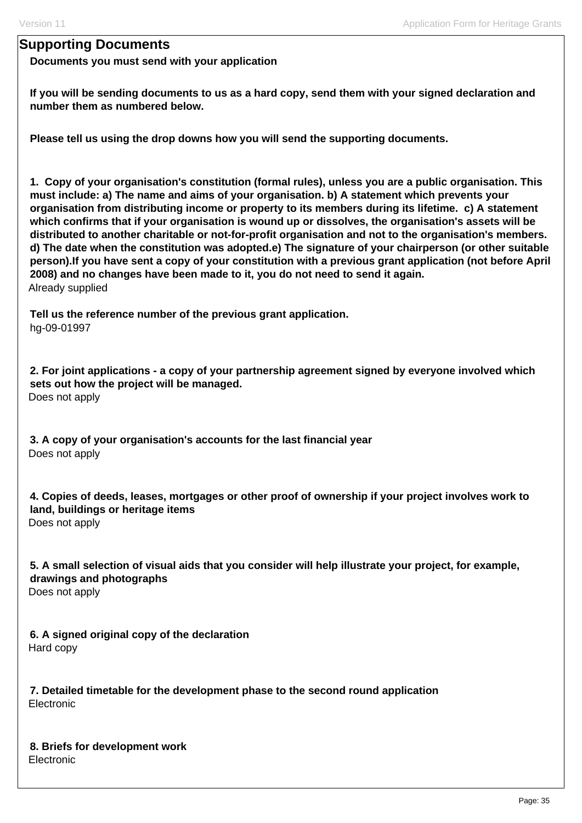### **Supporting Documents**

**Documents you must send with your application**

**If you will be sending documents to us as a hard copy, send them with your signed declaration and number them as numbered below.** 

**Please tell us using the drop downs how you will send the supporting documents.** 

**1. Copy of your organisation's constitution (formal rules), unless you are a public organisation. This must include: a) The name and aims of your organisation. b) A statement which prevents your organisation from distributing income or property to its members during its lifetime. c) A statement which confirms that if your organisation is wound up or dissolves, the organisation's assets will be distributed to another charitable or not-for-profit organisation and not to the organisation's members. d) The date when the constitution was adopted.e) The signature of your chairperson (or other suitable person).If you have sent a copy of your constitution with a previous grant application (not before April 2008) and no changes have been made to it, you do not need to send it again.**  Already supplied

**Tell us the reference number of the previous grant application.**  hg-09-01997

**2. For joint applications - a copy of your partnership agreement signed by everyone involved which sets out how the project will be managed.**  Does not apply

**3. A copy of your organisation's accounts for the last financial year**  Does not apply

**4. Copies of deeds, leases, mortgages or other proof of ownership if your project involves work to land, buildings or heritage items**  Does not apply

**5. A small selection of visual aids that you consider will help illustrate your project, for example, drawings and photographs**  Does not apply

**6. A signed original copy of the declaration**  Hard copy

**7. Detailed timetable for the development phase to the second round application**  Electronic

**8. Briefs for development work**  Electronic